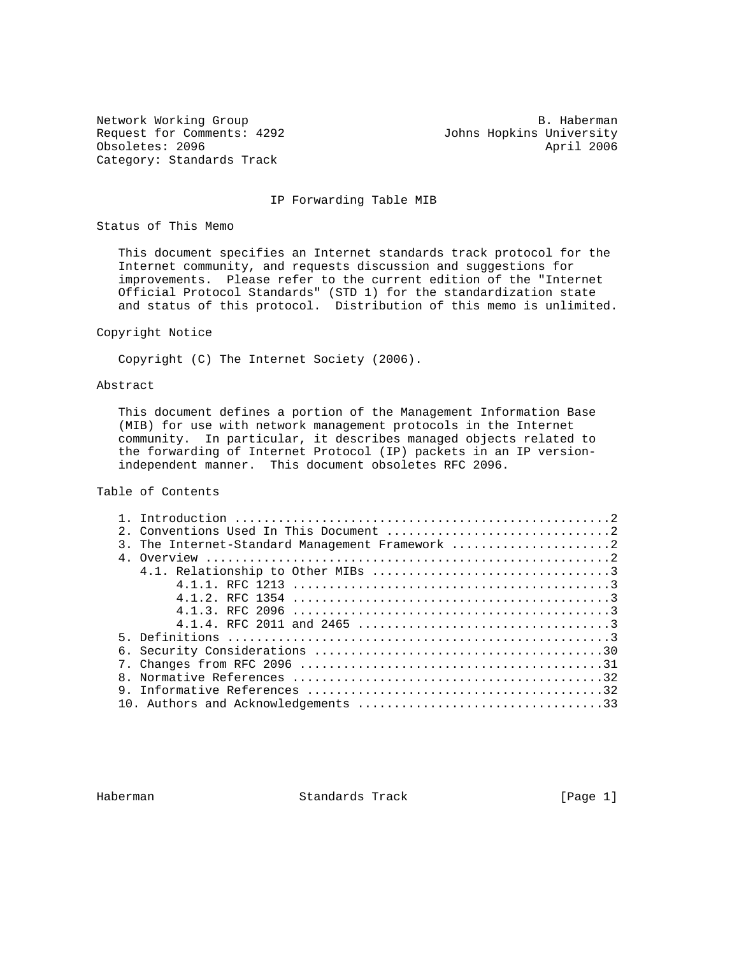Request for Comments: 4292 Johns Hopkins University Obsoletes: 2096 **April 2006 April 2006** Category: Standards Track

Network Working Group and the set of the set of the set of the B. Haberman

### IP Forwarding Table MIB

Status of This Memo

 This document specifies an Internet standards track protocol for the Internet community, and requests discussion and suggestions for improvements. Please refer to the current edition of the "Internet Official Protocol Standards" (STD 1) for the standardization state and status of this protocol. Distribution of this memo is unlimited.

## Copyright Notice

Copyright (C) The Internet Society (2006).

### Abstract

 This document defines a portion of the Management Information Base (MIB) for use with network management protocols in the Internet community. In particular, it describes managed objects related to the forwarding of Internet Protocol (IP) packets in an IP version independent manner. This document obsoletes RFC 2096.

# Table of Contents

| 3. The Internet-Standard Management Framework 2 |
|-------------------------------------------------|
|                                                 |
|                                                 |
|                                                 |
|                                                 |
|                                                 |
|                                                 |
|                                                 |
|                                                 |
|                                                 |
|                                                 |
|                                                 |
|                                                 |

Haberman Standards Track [Page 1]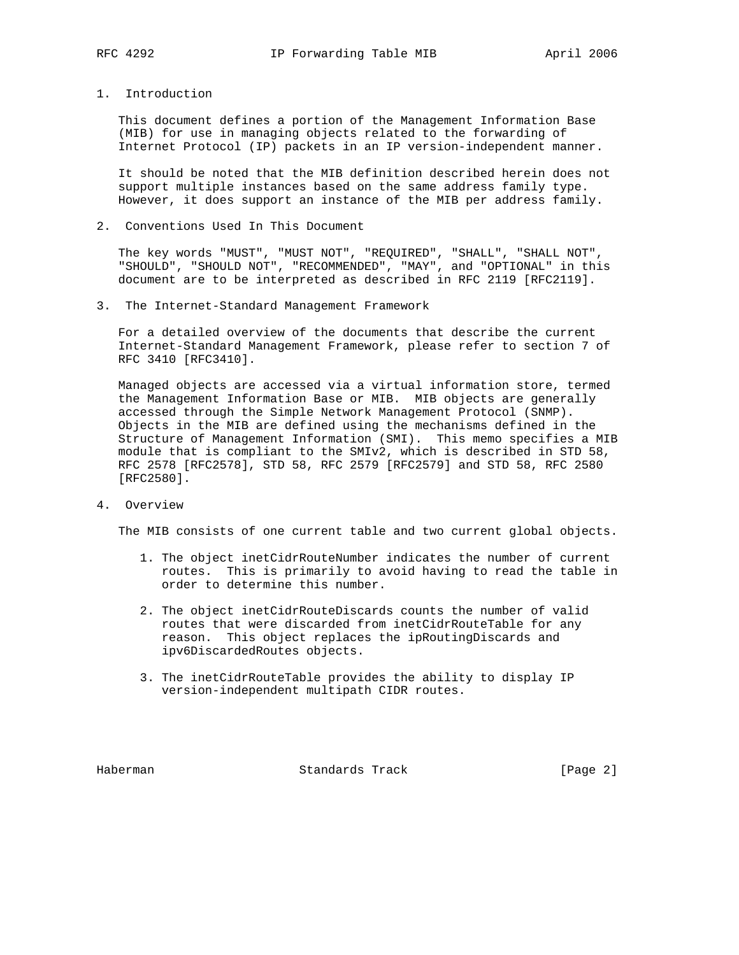## 1. Introduction

 This document defines a portion of the Management Information Base (MIB) for use in managing objects related to the forwarding of Internet Protocol (IP) packets in an IP version-independent manner.

 It should be noted that the MIB definition described herein does not support multiple instances based on the same address family type. However, it does support an instance of the MIB per address family.

2. Conventions Used In This Document

 The key words "MUST", "MUST NOT", "REQUIRED", "SHALL", "SHALL NOT", "SHOULD", "SHOULD NOT", "RECOMMENDED", "MAY", and "OPTIONAL" in this document are to be interpreted as described in RFC 2119 [RFC2119].

3. The Internet-Standard Management Framework

 For a detailed overview of the documents that describe the current Internet-Standard Management Framework, please refer to section 7 of RFC 3410 [RFC3410].

 Managed objects are accessed via a virtual information store, termed the Management Information Base or MIB. MIB objects are generally accessed through the Simple Network Management Protocol (SNMP). Objects in the MIB are defined using the mechanisms defined in the Structure of Management Information (SMI). This memo specifies a MIB module that is compliant to the SMIv2, which is described in STD 58, RFC 2578 [RFC2578], STD 58, RFC 2579 [RFC2579] and STD 58, RFC 2580 [RFC2580].

4. Overview

The MIB consists of one current table and two current global objects.

- 1. The object inetCidrRouteNumber indicates the number of current routes. This is primarily to avoid having to read the table in order to determine this number.
- 2. The object inetCidrRouteDiscards counts the number of valid routes that were discarded from inetCidrRouteTable for any reason. This object replaces the ipRoutingDiscards and ipv6DiscardedRoutes objects.
- 3. The inetCidrRouteTable provides the ability to display IP version-independent multipath CIDR routes.

Haberman **Standards Track** [Page 2]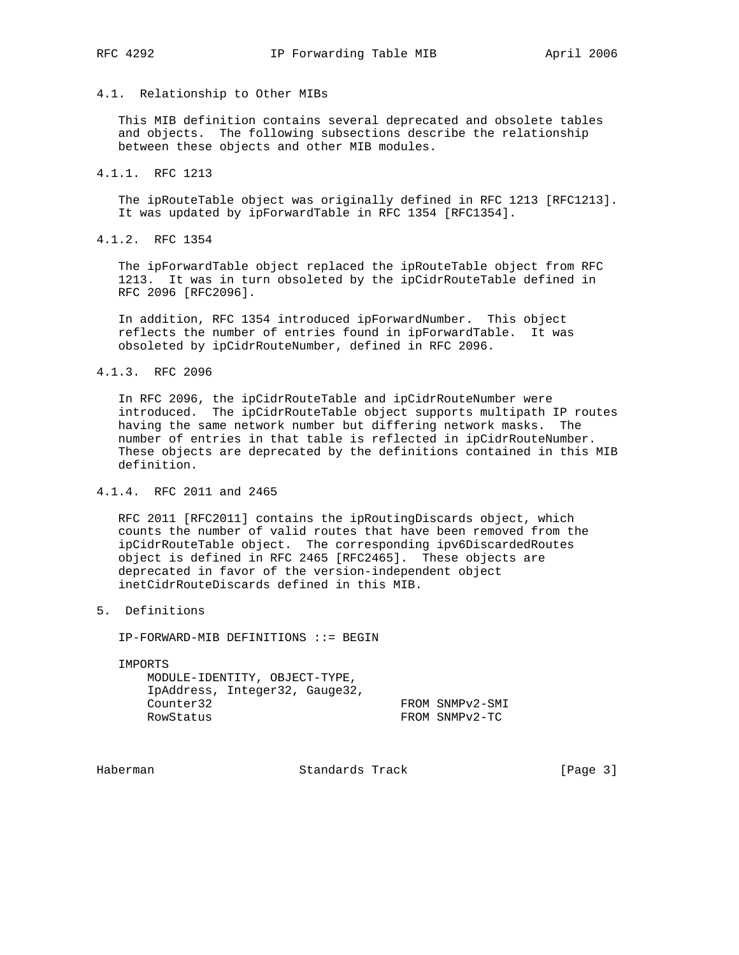## 4.1. Relationship to Other MIBs

 This MIB definition contains several deprecated and obsolete tables and objects. The following subsections describe the relationship between these objects and other MIB modules.

4.1.1. RFC 1213

 The ipRouteTable object was originally defined in RFC 1213 [RFC1213]. It was updated by ipForwardTable in RFC 1354 [RFC1354].

4.1.2. RFC 1354

 The ipForwardTable object replaced the ipRouteTable object from RFC 1213. It was in turn obsoleted by the ipCidrRouteTable defined in RFC 2096 [RFC2096].

 In addition, RFC 1354 introduced ipForwardNumber. This object reflects the number of entries found in ipForwardTable. It was obsoleted by ipCidrRouteNumber, defined in RFC 2096.

### 4.1.3. RFC 2096

 In RFC 2096, the ipCidrRouteTable and ipCidrRouteNumber were introduced. The ipCidrRouteTable object supports multipath IP routes having the same network number but differing network masks. The number of entries in that table is reflected in ipCidrRouteNumber. These objects are deprecated by the definitions contained in this MIB definition.

# 4.1.4. RFC 2011 and 2465

 RFC 2011 [RFC2011] contains the ipRoutingDiscards object, which counts the number of valid routes that have been removed from the ipCidrRouteTable object. The corresponding ipv6DiscardedRoutes object is defined in RFC 2465 [RFC2465]. These objects are deprecated in favor of the version-independent object inetCidrRouteDiscards defined in this MIB.

5. Definitions

IP-FORWARD-MIB DEFINITIONS ::= BEGIN

IMPORTS

 MODULE-IDENTITY, OBJECT-TYPE, IpAddress, Integer32, Gauge32, Counter32 FROM SNMPv2-SMI RowStatus FROM SNMPv2-TC

Haberman Standards Track [Page 3]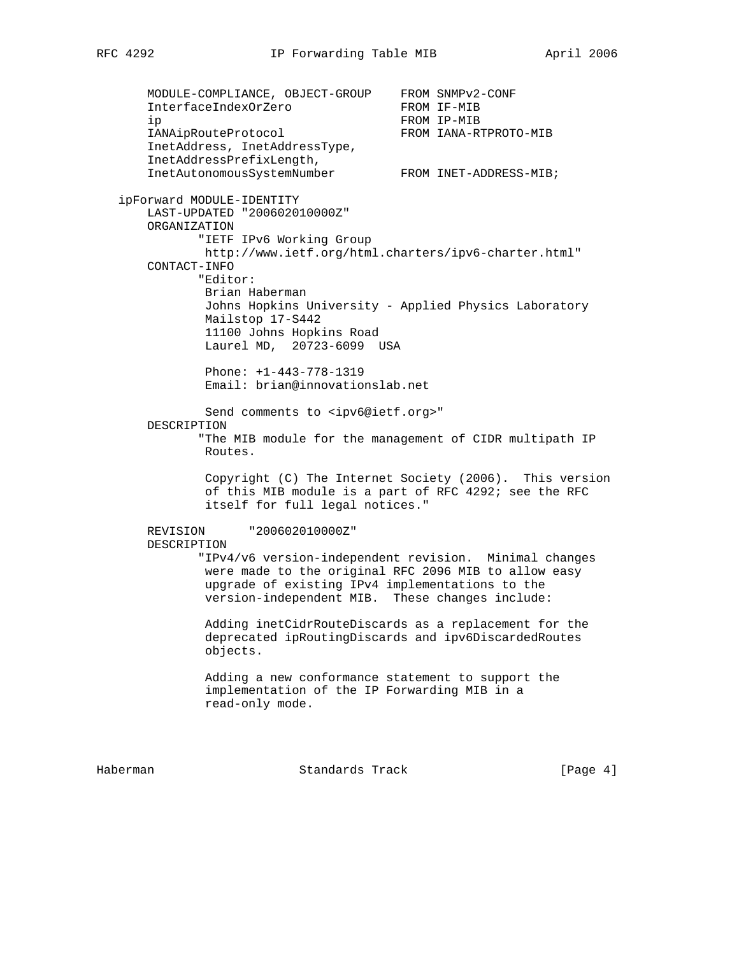MODULE-COMPLIANCE, OBJECT-GROUP FROM SNMPv2-CONF InterfaceIndexOrZero FROM IF-MIB ip FROM IP-MIB IANAipRouteProtocol FROM IANA-RTPROTO-MIB InetAddress, InetAddressType, InetAddressPrefixLength, InetAutonomousSystemNumber FROM INET-ADDRESS-MIB; ipForward MODULE-IDENTITY LAST-UPDATED "200602010000Z" ORGANIZATION "IETF IPv6 Working Group http://www.ietf.org/html.charters/ipv6-charter.html" CONTACT-INFO "Editor: Brian Haberman Johns Hopkins University - Applied Physics Laboratory Mailstop 17-S442 11100 Johns Hopkins Road Laurel MD, 20723-6099 USA Phone: +1-443-778-1319 Email: brian@innovationslab.net Send comments to <ipv6@ietf.org>" DESCRIPTION "The MIB module for the management of CIDR multipath IP Routes. Copyright (C) The Internet Society (2006). This version of this MIB module is a part of RFC 4292; see the RFC itself for full legal notices." REVISION "200602010000Z" DESCRIPTION "IPv4/v6 version-independent revision. Minimal changes were made to the original RFC 2096 MIB to allow easy upgrade of existing IPv4 implementations to the version-independent MIB. These changes include: Adding inetCidrRouteDiscards as a replacement for the deprecated ipRoutingDiscards and ipv6DiscardedRoutes objects. Adding a new conformance statement to support the implementation of the IP Forwarding MIB in a read-only mode.

Haberman **Standards Track Example 2** (Page 4)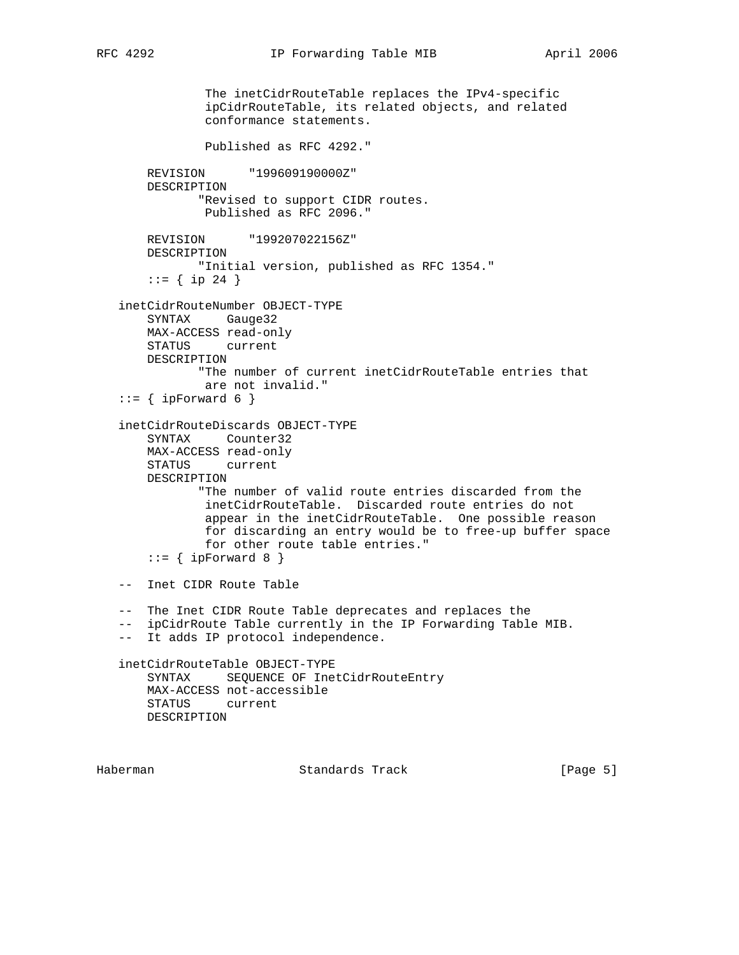```
 The inetCidrRouteTable replaces the IPv4-specific
             ipCidrRouteTable, its related objects, and related
             conformance statements.
             Published as RFC 4292."
    REVISION "199609190000Z"
    DESCRIPTION
            "Revised to support CIDR routes.
            Published as RFC 2096."
    REVISION "199207022156Z"
    DESCRIPTION
           "Initial version, published as RFC 1354."
    ::= \{ \text{ip } 24 \} inetCidrRouteNumber OBJECT-TYPE
    SYNTAX Gauge32
    MAX-ACCESS read-only
    STATUS current
    DESCRIPTION
           "The number of current inetCidrRouteTable entries that
            are not invalid."
::= { ipForward 6 }
 inetCidrRouteDiscards OBJECT-TYPE
    SYNTAX Counter32
    MAX-ACCESS read-only
    STATUS current
    DESCRIPTION
            "The number of valid route entries discarded from the
            inetCidrRouteTable. Discarded route entries do not
             appear in the inetCidrRouteTable. One possible reason
             for discarding an entry would be to free-up buffer space
            for other route table entries."
    ::= { ipForward 8 }
 -- Inet CIDR Route Table
 -- The Inet CIDR Route Table deprecates and replaces the
 -- ipCidrRoute Table currently in the IP Forwarding Table MIB.
 -- It adds IP protocol independence.
 inetCidrRouteTable OBJECT-TYPE
    SYNTAX SEQUENCE OF InetCidrRouteEntry
    MAX-ACCESS not-accessible
    STATUS current
    DESCRIPTION
```
Haberman **Standards Track** [Page 5]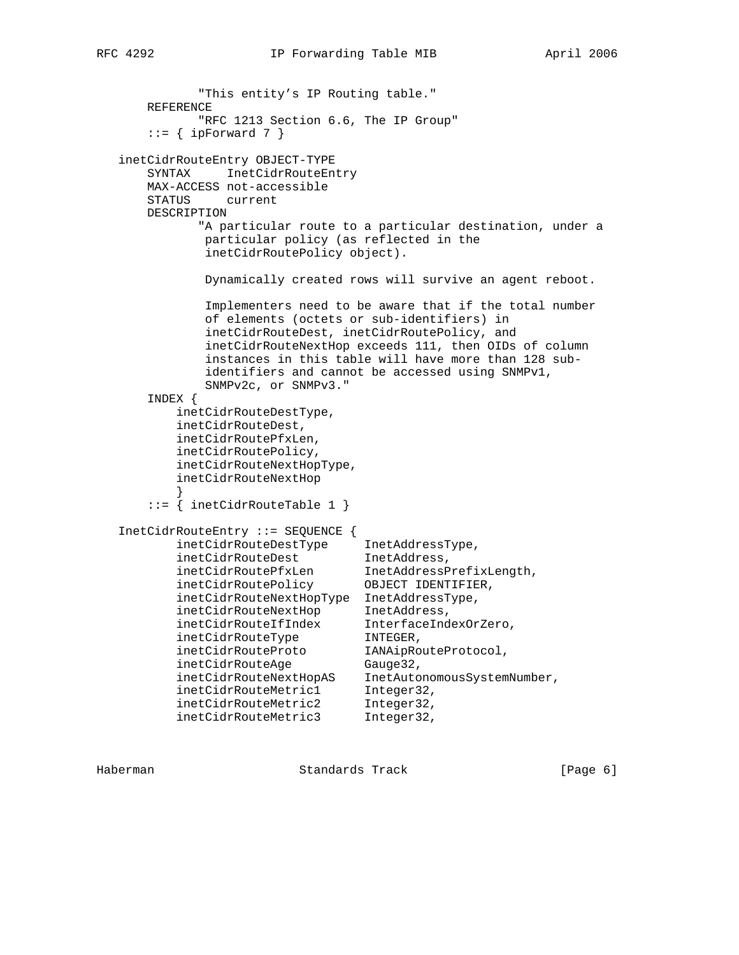```
 "This entity's IP Routing table."
      REFERENCE
             "RFC 1213 Section 6.6, The IP Group"
      ::= { ipForward 7 }
   inetCidrRouteEntry OBJECT-TYPE
       SYNTAX InetCidrRouteEntry
      MAX-ACCESS not-accessible
      STATUS current
      DESCRIPTION
             "A particular route to a particular destination, under a
             particular policy (as reflected in the
              inetCidrRoutePolicy object).
              Dynamically created rows will survive an agent reboot.
              Implementers need to be aware that if the total number
              of elements (octets or sub-identifiers) in
              inetCidrRouteDest, inetCidrRoutePolicy, and
              inetCidrRouteNextHop exceeds 111, then OIDs of column
              instances in this table will have more than 128 sub-
              identifiers and cannot be accessed using SNMPv1,
              SNMPv2c, or SNMPv3."
       INDEX {
          inetCidrRouteDestType,
          inetCidrRouteDest,
          inetCidrRoutePfxLen,
          inetCidrRoutePolicy,
          inetCidrRouteNextHopType,
          inetCidrRouteNextHop
 }
       ::= { inetCidrRouteTable 1 }
   InetCidrRouteEntry ::= SEQUENCE {
 inetCidrRouteDestType InetAddressType,
inetCidrRouteDest TnetAddress,
 inetCidrRoutePfxLen InetAddressPrefixLength,
 inetCidrRoutePolicy OBJECT IDENTIFIER,
 inetCidrRouteNextHopType InetAddressType,
 inetCidrRouteNextHop InetAddress,
 inetCidrRouteIfIndex InterfaceIndexOrZero,
 inetCidrRouteType INTEGER,
inetCidrRouteProto    IANAipRouteProtocol,
inetCidrRouteAge Gauge32,
 inetCidrRouteNextHopAS InetAutonomousSystemNumber,
inetCidrRouteMetric1 1nteger32,
 inetCidrRouteMetric2 Integer32,
 inetCidrRouteMetric3 Integer32,
```
Haberman **Standards Track** [Page 6]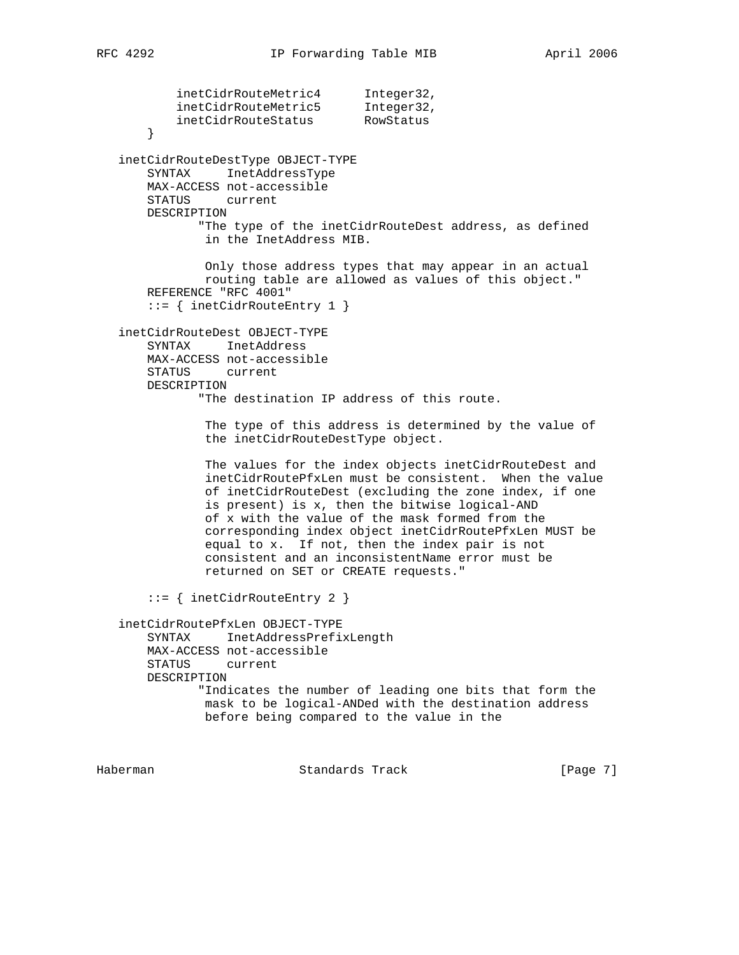inetCidrRouteMetric4 Integer32, inetCidrRouteMetric5 Integer32, inetCidrRouteStatus RowStatus } inetCidrRouteDestType OBJECT-TYPE SYNTAX InetAddressType MAX-ACCESS not-accessible STATUS current DESCRIPTION "The type of the inetCidrRouteDest address, as defined in the InetAddress MIB. Only those address types that may appear in an actual routing table are allowed as values of this object." REFERENCE "RFC 4001" ::= { inetCidrRouteEntry 1 } inetCidrRouteDest OBJECT-TYPE SYNTAX InetAddress MAX-ACCESS not-accessible STATUS current DESCRIPTION "The destination IP address of this route. The type of this address is determined by the value of the inetCidrRouteDestType object. The values for the index objects inetCidrRouteDest and inetCidrRoutePfxLen must be consistent. When the value of inetCidrRouteDest (excluding the zone index, if one is present) is x, then the bitwise logical-AND of x with the value of the mask formed from the corresponding index object inetCidrRoutePfxLen MUST be equal to x. If not, then the index pair is not consistent and an inconsistentName error must be returned on SET or CREATE requests." ::= { inetCidrRouteEntry 2 } inetCidrRoutePfxLen OBJECT-TYPE SYNTAX InetAddressPrefixLength MAX-ACCESS not-accessible STATUS current DESCRIPTION "Indicates the number of leading one bits that form the mask to be logical-ANDed with the destination address before being compared to the value in the

Haberman **Standards Track** [Page 7]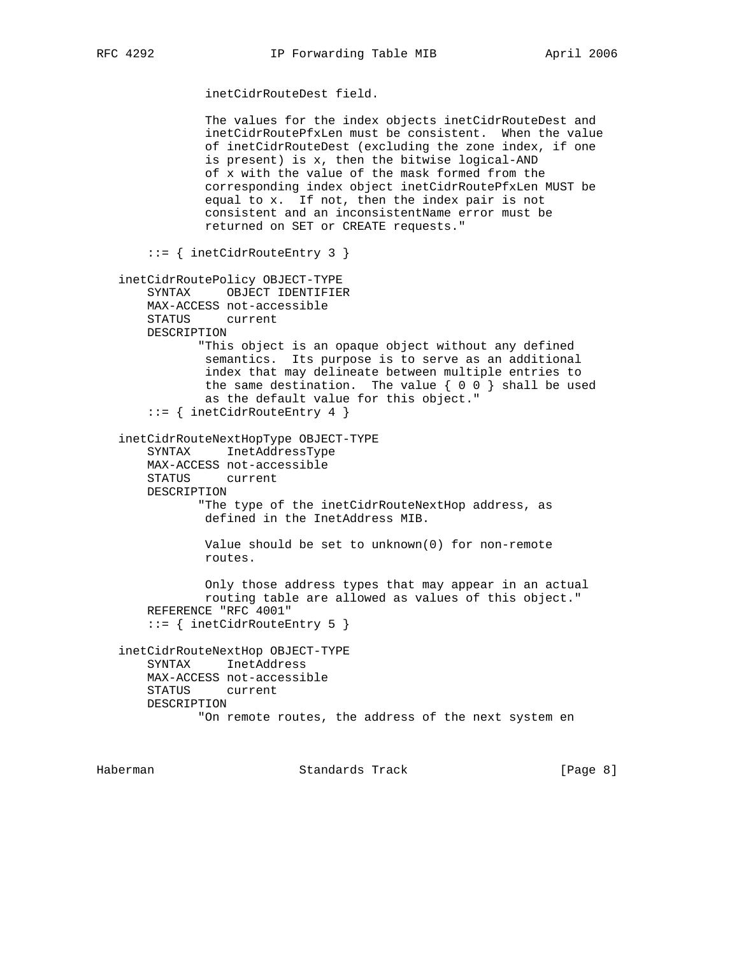inetCidrRouteDest field.

 The values for the index objects inetCidrRouteDest and inetCidrRoutePfxLen must be consistent. When the value of inetCidrRouteDest (excluding the zone index, if one is present) is x, then the bitwise logical-AND of x with the value of the mask formed from the corresponding index object inetCidrRoutePfxLen MUST be equal to x. If not, then the index pair is not consistent and an inconsistentName error must be returned on SET or CREATE requests." ::= { inetCidrRouteEntry 3 } inetCidrRoutePolicy OBJECT-TYPE SYNTAX OBJECT IDENTIFIER MAX-ACCESS not-accessible STATUS current DESCRIPTION "This object is an opaque object without any defined semantics. Its purpose is to serve as an additional index that may delineate between multiple entries to the same destination. The value  $\{ 0 0 \}$  shall be used as the default value for this object." ::= { inetCidrRouteEntry 4 } inetCidrRouteNextHopType OBJECT-TYPE SYNTAX InetAddressType MAX-ACCESS not-accessible STATUS current DESCRIPTION "The type of the inetCidrRouteNextHop address, as defined in the InetAddress MIB. Value should be set to unknown(0) for non-remote routes. Only those address types that may appear in an actual routing table are allowed as values of this object." REFERENCE "RFC 4001" ::= { inetCidrRouteEntry 5 } inetCidrRouteNextHop OBJECT-TYPE SYNTAX InetAddress MAX-ACCESS not-accessible STATUS current DESCRIPTION "On remote routes, the address of the next system en

Haberman **Standards Track Example 2** (Page 8)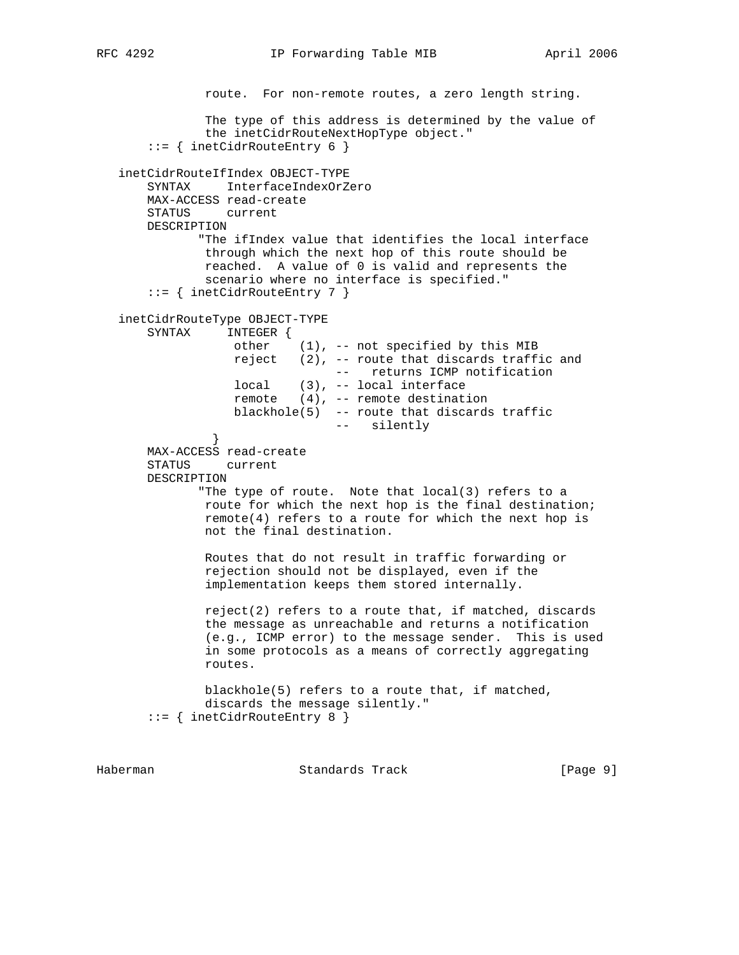```
 route. For non-remote routes, a zero length string.
               The type of this address is determined by the value of
               the inetCidrRouteNextHopType object."
       ::= { inetCidrRouteEntry 6 }
   inetCidrRouteIfIndex OBJECT-TYPE
       SYNTAX InterfaceIndexOrZero
       MAX-ACCESS read-create
       STATUS current
       DESCRIPTION
              "The ifIndex value that identifies the local interface
               through which the next hop of this route should be
               reached. A value of 0 is valid and represents the
               scenario where no interface is specified."
       ::= { inetCidrRouteEntry 7 }
   inetCidrRouteType OBJECT-TYPE
       SYNTAX INTEGER {
                  other (1), -- not specified by this MIB
                  reject (2), -- route that discards traffic and
                                 -- returns ICMP notification
                   local (3), -- local interface
                  remote (4), -- remote destination
                   blackhole(5) -- route that discards traffic
                                 -- silently
 }
       MAX-ACCESS read-create
       STATUS current
       DESCRIPTION
              "The type of route. Note that local(3) refers to a
               route for which the next hop is the final destination;
               remote(4) refers to a route for which the next hop is
               not the final destination.
               Routes that do not result in traffic forwarding or
               rejection should not be displayed, even if the
               implementation keeps them stored internally.
               reject(2) refers to a route that, if matched, discards
               the message as unreachable and returns a notification
               (e.g., ICMP error) to the message sender. This is used
               in some protocols as a means of correctly aggregating
               routes.
               blackhole(5) refers to a route that, if matched,
               discards the message silently."
       ::= { inetCidrRouteEntry 8 }
```
Haberman Standards Track [Page 9]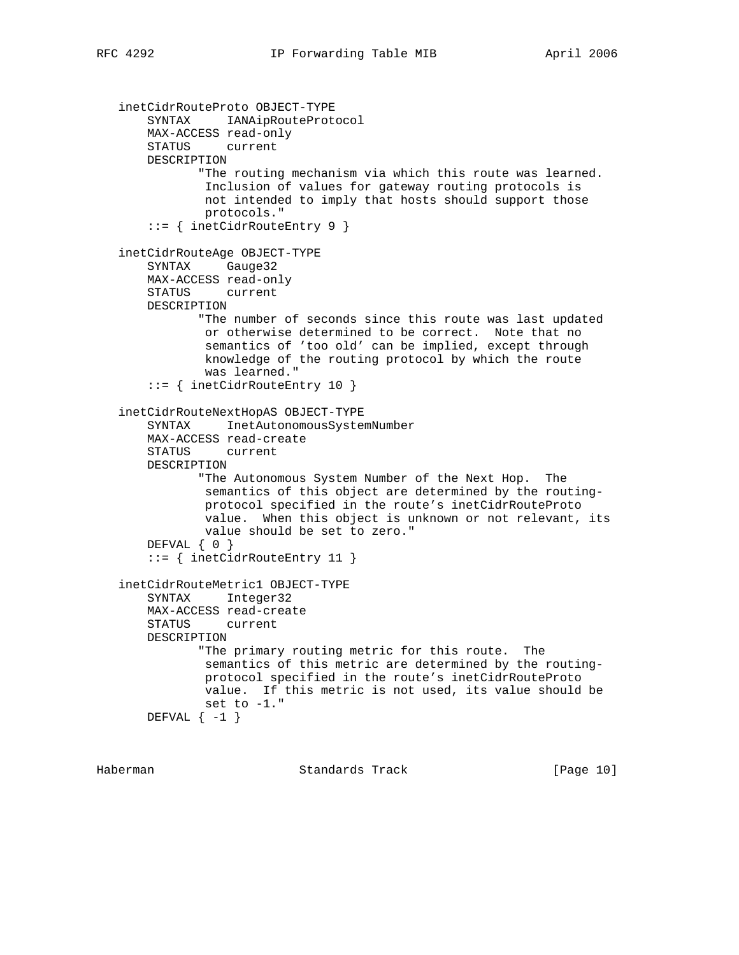```
 inetCidrRouteProto OBJECT-TYPE
     SYNTAX IANAipRouteProtocol
    MAX-ACCESS read-only
    STATUS current
    DESCRIPTION
            "The routing mechanism via which this route was learned.
            Inclusion of values for gateway routing protocols is
            not intended to imply that hosts should support those
            protocols."
     ::= { inetCidrRouteEntry 9 }
 inetCidrRouteAge OBJECT-TYPE
    SYNTAX Gauge32
    MAX-ACCESS read-only
    STATUS current
    DESCRIPTION
            "The number of seconds since this route was last updated
            or otherwise determined to be correct. Note that no
             semantics of 'too old' can be implied, except through
            knowledge of the routing protocol by which the route
             was learned."
     ::= { inetCidrRouteEntry 10 }
 inetCidrRouteNextHopAS OBJECT-TYPE
     SYNTAX InetAutonomousSystemNumber
    MAX-ACCESS read-create
    STATUS current
    DESCRIPTION
            "The Autonomous System Number of the Next Hop. The
            semantics of this object are determined by the routing-
            protocol specified in the route's inetCidrRouteProto
            value. When this object is unknown or not relevant, its
            value should be set to zero."
   DEFVAL { 0 }
     ::= { inetCidrRouteEntry 11 }
 inetCidrRouteMetric1 OBJECT-TYPE
    SYNTAX Integer32
    MAX-ACCESS read-create
    STATUS current
    DESCRIPTION
           "The primary routing metric for this route. The
            semantics of this metric are determined by the routing-
            protocol specified in the route's inetCidrRouteProto
            value. If this metric is not used, its value should be
            set to -1."
   DEFVAL \{-1\}
```
Haberman Standards Track [Page 10]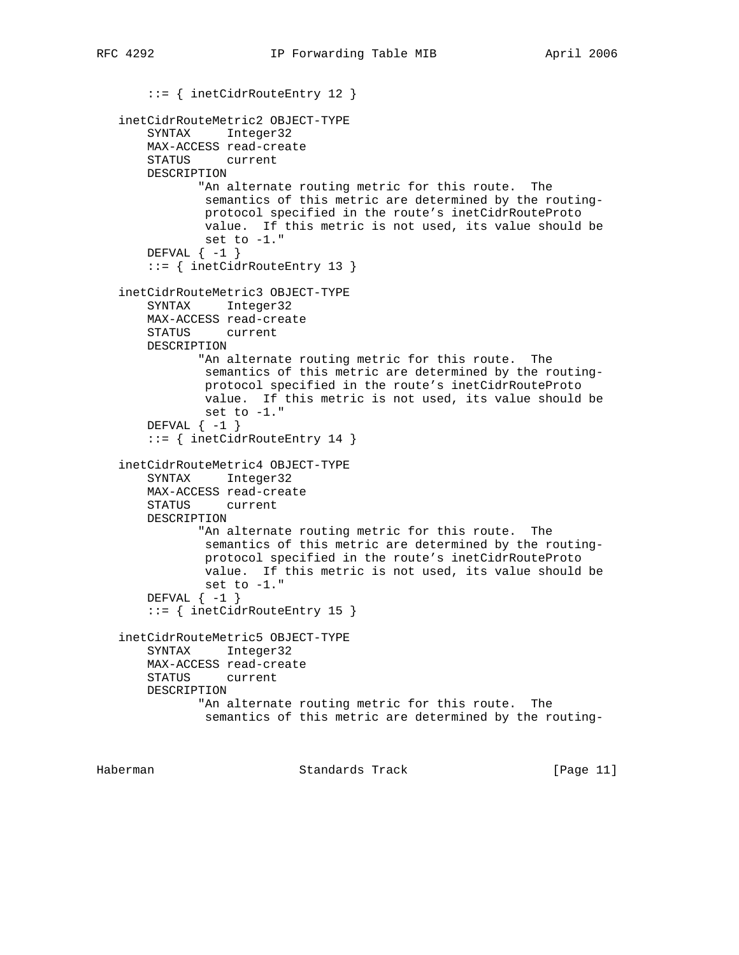```
 ::= { inetCidrRouteEntry 12 }
 inetCidrRouteMetric2 OBJECT-TYPE
    SYNTAX Integer32
    MAX-ACCESS read-create
    STATUS current
    DESCRIPTION
           "An alternate routing metric for this route. The
            semantics of this metric are determined by the routing-
            protocol specified in the route's inetCidrRouteProto
            value. If this metric is not used, its value should be
            set to -1."
   DEFVAL \{-1\} ::= { inetCidrRouteEntry 13 }
 inetCidrRouteMetric3 OBJECT-TYPE
    SYNTAX Integer32
    MAX-ACCESS read-create
    STATUS current
    DESCRIPTION
           "An alternate routing metric for this route. The
            semantics of this metric are determined by the routing-
            protocol specified in the route's inetCidrRouteProto
            value. If this metric is not used, its value should be
            set to -1."
   DEFVAL \{-1\} ::= { inetCidrRouteEntry 14 }
 inetCidrRouteMetric4 OBJECT-TYPE
    SYNTAX Integer32
    MAX-ACCESS read-create
    STATUS current
    DESCRIPTION
           "An alternate routing metric for this route. The
            semantics of this metric are determined by the routing-
            protocol specified in the route's inetCidrRouteProto
            value. If this metric is not used, its value should be
            set to -1."
   DEFVAL \{-1\} ::= { inetCidrRouteEntry 15 }
 inetCidrRouteMetric5 OBJECT-TYPE
    SYNTAX Integer32
    MAX-ACCESS read-create
    STATUS current
    DESCRIPTION
           "An alternate routing metric for this route. The
            semantics of this metric are determined by the routing-
```
Haberman Standards Track [Page 11]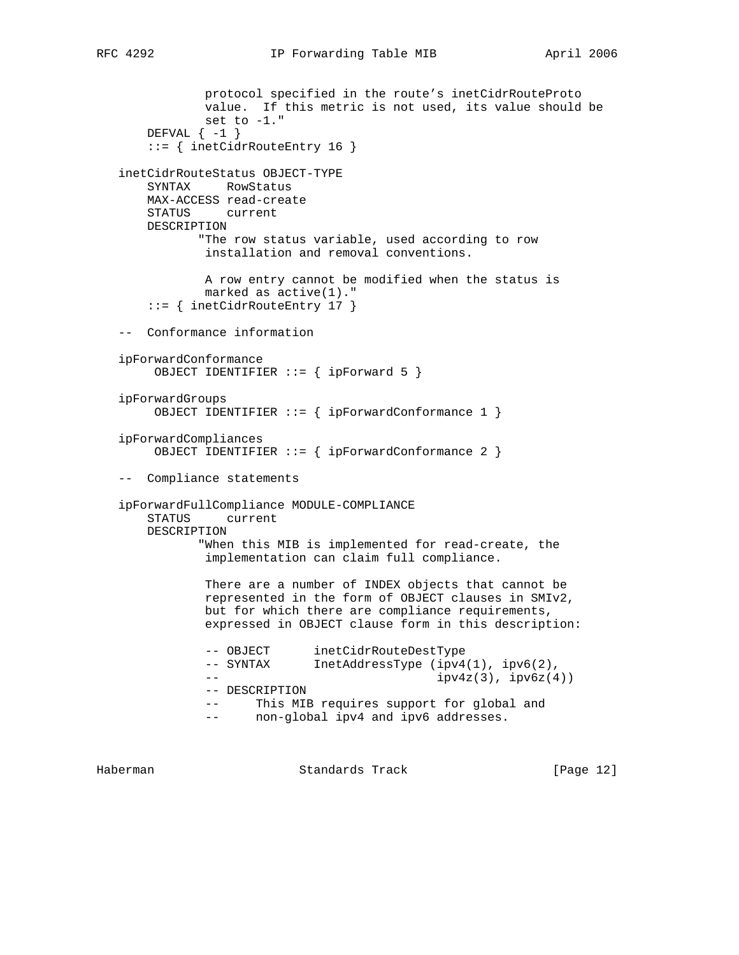```
 protocol specified in the route's inetCidrRouteProto
            value. If this metric is not used, its value should be
            set to -1."
   DEFVAL \{-1\} ::= { inetCidrRouteEntry 16 }
 inetCidrRouteStatus OBJECT-TYPE
    SYNTAX RowStatus
    MAX-ACCESS read-create
    STATUS current
    DESCRIPTION
           "The row status variable, used according to row
            installation and removal conventions.
            A row entry cannot be modified when the status is
            marked as active(1)."
     ::= { inetCidrRouteEntry 17 }
 -- Conformance information
 ipForwardConformance
     OBJECT IDENTIFIER ::= { ipForward 5 }
 ipForwardGroups
     OBJECT IDENTIFIER ::= { ipForwardConformance 1 }
 ipForwardCompliances
     OBJECT IDENTIFIER ::= { ipForwardConformance 2 }
 -- Compliance statements
 ipForwardFullCompliance MODULE-COMPLIANCE
    STATUS current
    DESCRIPTION
            "When this MIB is implemented for read-create, the
            implementation can claim full compliance.
            There are a number of INDEX objects that cannot be
            represented in the form of OBJECT clauses in SMIv2,
            but for which there are compliance requirements,
            expressed in OBJECT clause form in this description:
            -- OBJECT inetCidrRouteDestType
           -- SYNTAX InetAddressType (ipv4(1), ipv6(2),
           - ipv4z(3), ipv6z(4))
            -- DESCRIPTION
            -- This MIB requires support for global and
            -- non-global ipv4 and ipv6 addresses.
```
Haberman Standards Track [Page 12]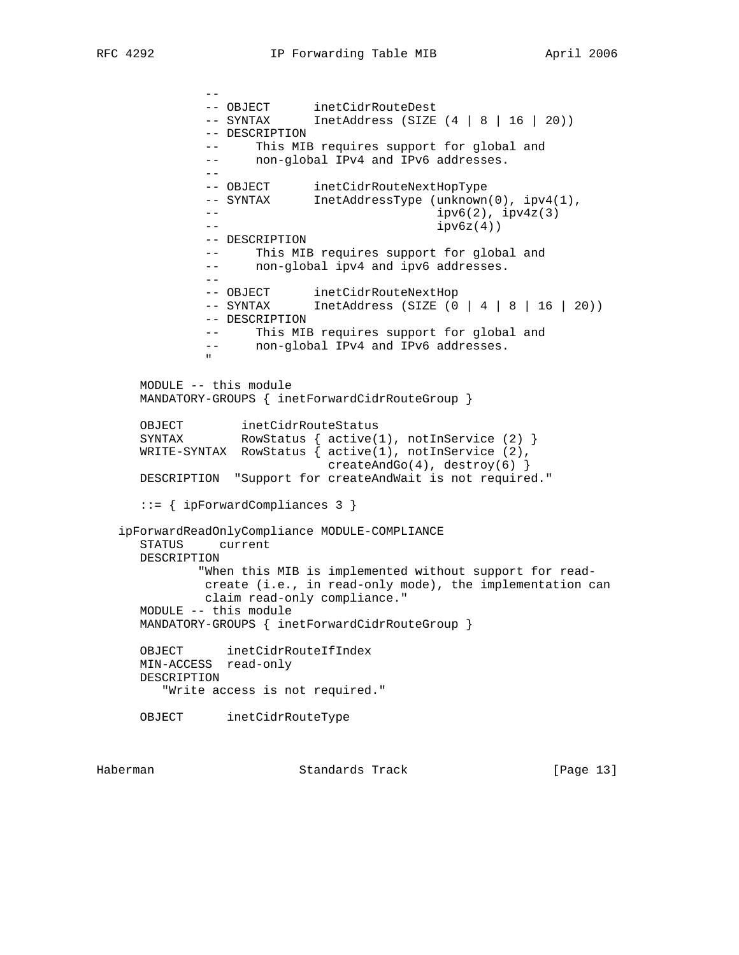--

-- OBJECT inetCidrRouteDest -- SYNTAX InetAddress (SIZE (4 | 8 | 16 | 20)) -- DESCRIPTION -- This MIB requires support for global and -- non-global IPv4 and IPv6 addresses. -- -- OBJECT inetCidrRouteNextHopType -- SYNTAX InetAddressType (unknown(0), ipv4(1),  $i = -1$  ipv6(2),  $i = 1$  ipv4z(3)  $-$  ipv6z(4)) -- DESCRIPTION -- This MIB requires support for global and -- non-global ipv4 and ipv6 addresses. -- -- OBJECT inetCidrRouteNextHop -- SYNTAX InetAddress (SIZE (0 | 4 | 8 | 16 | 20)) -- DESCRIPTION -- This MIB requires support for global and -- non-global IPv4 and IPv6 addresses. " MODULE -- this module MANDATORY-GROUPS { inetForwardCidrRouteGroup } OBJECT inetCidrRouteStatus SYNTAX RowStatus { active(1), notInService (2) } WRITE-SYNTAX RowStatus { active(1), notInService (2), createAndGo(4), destroy(6) } DESCRIPTION "Support for createAndWait is not required." ::= { ipForwardCompliances 3 } ipForwardReadOnlyCompliance MODULE-COMPLIANCE STATUS current DESCRIPTION "When this MIB is implemented without support for read create (i.e., in read-only mode), the implementation can claim read-only compliance." MODULE -- this module MANDATORY-GROUPS { inetForwardCidrRouteGroup } OBJECT inetCidrRouteIfIndex MIN-ACCESS read-only DESCRIPTION "Write access is not required." OBJECT inetCidrRouteType

Haberman Standards Track [Page 13]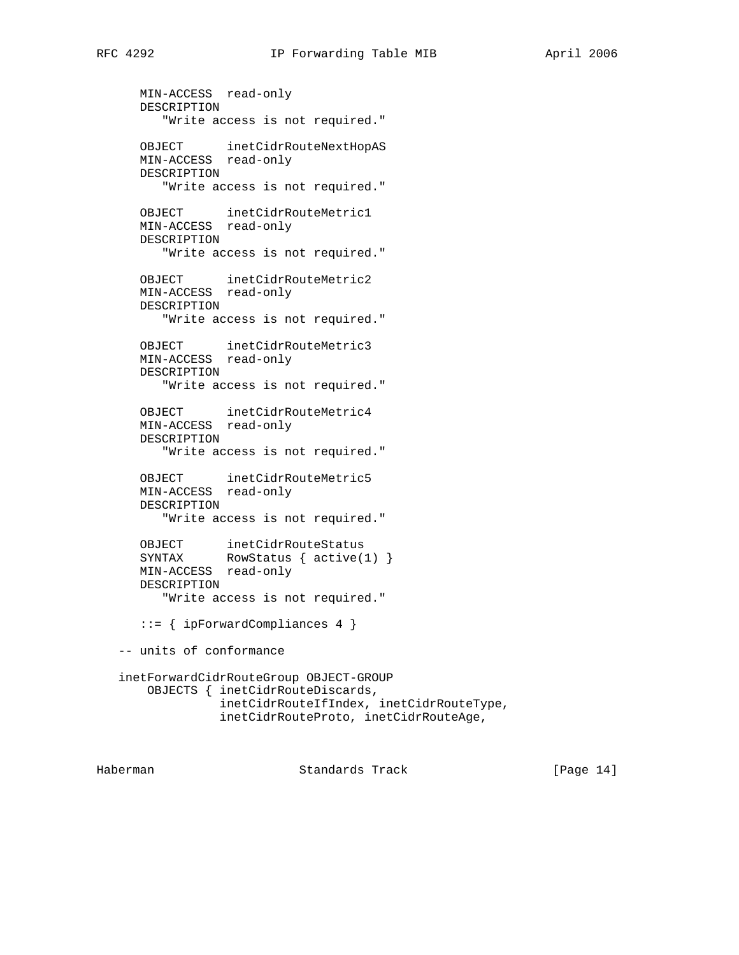```
 MIN-ACCESS read-only
      DESCRIPTION
          "Write access is not required."
 OBJECT inetCidrRouteNextHopAS
 MIN-ACCESS read-only
      DESCRIPTION
         "Write access is not required."
      OBJECT inetCidrRouteMetric1
      MIN-ACCESS read-only
      DESCRIPTION
         "Write access is not required."
      OBJECT inetCidrRouteMetric2
      MIN-ACCESS read-only
      DESCRIPTION
         "Write access is not required."
      OBJECT inetCidrRouteMetric3
      MIN-ACCESS read-only
      DESCRIPTION
          "Write access is not required."
      OBJECT inetCidrRouteMetric4
      MIN-ACCESS read-only
      DESCRIPTION
          "Write access is not required."
      OBJECT inetCidrRouteMetric5
      MIN-ACCESS read-only
      DESCRIPTION
         "Write access is not required."
     OBJECT inetCidrRouteStatus<br>SYNTAX RowStatus { active(1)
                RowStatus \{ active(1) \} MIN-ACCESS read-only
      DESCRIPTION
         "Write access is not required."
      ::= { ipForwardCompliances 4 }
   -- units of conformance
   inetForwardCidrRouteGroup OBJECT-GROUP
       OBJECTS { inetCidrRouteDiscards,
                  inetCidrRouteIfIndex, inetCidrRouteType,
                  inetCidrRouteProto, inetCidrRouteAge,
```
Haberman Standards Track [Page 14]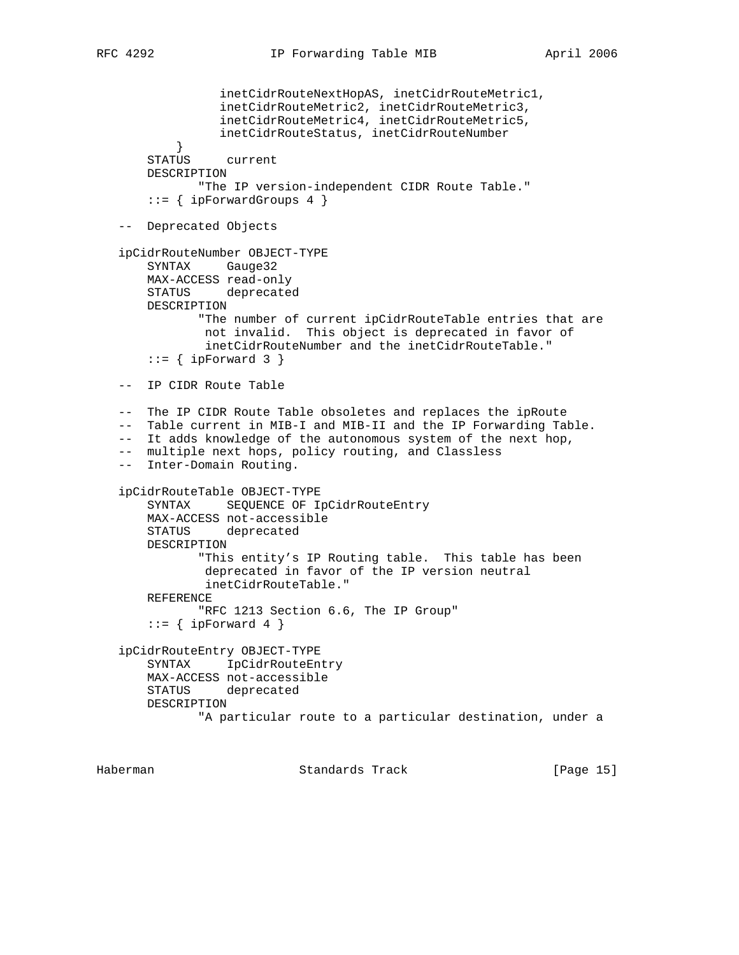```
 inetCidrRouteNextHopAS, inetCidrRouteMetric1,
 inetCidrRouteMetric2, inetCidrRouteMetric3,
 inetCidrRouteMetric4, inetCidrRouteMetric5,
                 inetCidrRouteStatus, inetCidrRouteNumber
 }
       STATUS current
       DESCRIPTION
              "The IP version-independent CIDR Route Table."
      ::= { ipForwardGroups 4 }
   -- Deprecated Objects
   ipCidrRouteNumber OBJECT-TYPE
       SYNTAX Gauge32
       MAX-ACCESS read-only
       STATUS deprecated
       DESCRIPTION
              "The number of current ipCidrRouteTable entries that are
               not invalid. This object is deprecated in favor of
               inetCidrRouteNumber and the inetCidrRouteTable."
      ::= { ipForward 3 }
   -- IP CIDR Route Table
   -- The IP CIDR Route Table obsoletes and replaces the ipRoute
   -- Table current in MIB-I and MIB-II and the IP Forwarding Table.
  -- It adds knowledge of the autonomous system of the next hop,
   -- multiple next hops, policy routing, and Classless
   -- Inter-Domain Routing.
   ipCidrRouteTable OBJECT-TYPE
       SYNTAX SEQUENCE OF IpCidrRouteEntry
       MAX-ACCESS not-accessible
       STATUS deprecated
       DESCRIPTION
              "This entity's IP Routing table. This table has been
               deprecated in favor of the IP version neutral
               inetCidrRouteTable."
       REFERENCE
              "RFC 1213 Section 6.6, The IP Group"
      ::= \{ ipForward 4 \} ipCidrRouteEntry OBJECT-TYPE
       SYNTAX IpCidrRouteEntry
       MAX-ACCESS not-accessible
       STATUS deprecated
       DESCRIPTION
              "A particular route to a particular destination, under a
```
Haberman Standards Track [Page 15]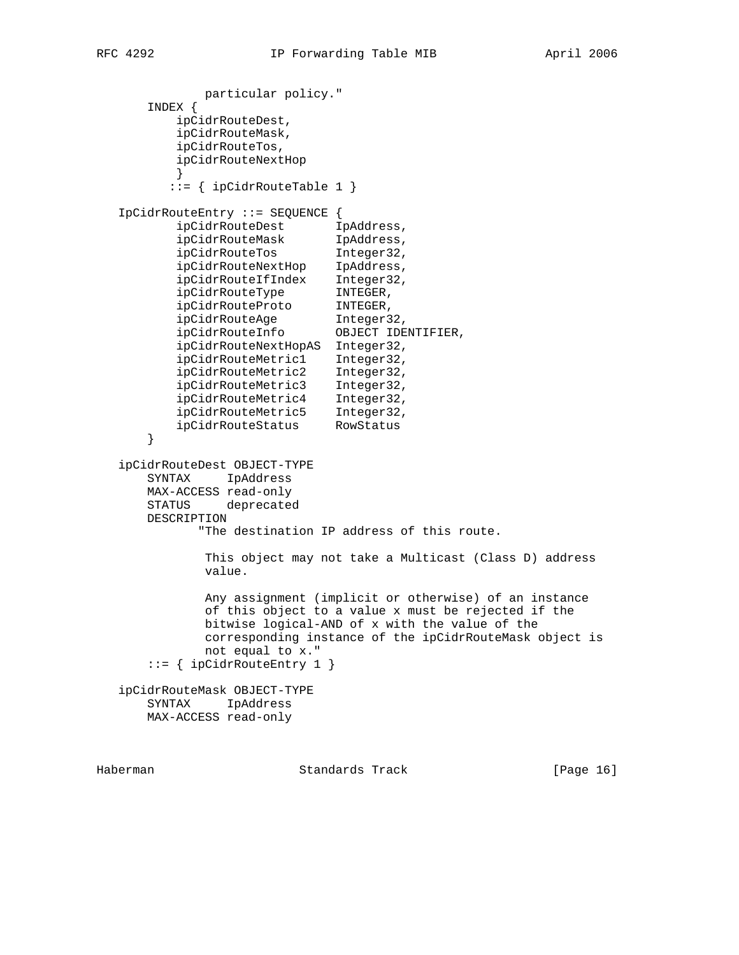particular policy." INDEX { ipCidrRouteDest, ipCidrRouteMask, ipCidrRouteTos, ipCidrRouteNextHop } ::= { ipCidrRouteTable 1 } IpCidrRouteEntry ::= SEQUENCE { ipCidrRouteDest IpAddress, ipCidrRouteMask IpAddress, ipCidrRouteTos Integer32, ipCidrRouteNextHop IpAddress, ipCidrRouteIfIndex Integer32, ipCidrRouteType INTEGER, ipCidrRouteProto INTEGER, ipCidrRouteAge Integer32, ipCidrRouteInfo OBJECT IDENTIFIER, ipCidrRouteNextHopAS Integer32, ipCidrRouteMetric1 Integer32, ipCidrRouteMetric2 Integer32, ipCidrRouteMetric3 Integer32, ipCidrRouteMetric4 Integer32, ipCidrRouteMetric5 Integer32, ipCidrRouteStatus RowStatus } ipCidrRouteDest OBJECT-TYPE SYNTAX IpAddress MAX-ACCESS read-only STATUS deprecated DESCRIPTION "The destination IP address of this route. This object may not take a Multicast (Class D) address value. Any assignment (implicit or otherwise) of an instance of this object to a value x must be rejected if the bitwise logical-AND of x with the value of the corresponding instance of the ipCidrRouteMask object is not equal to x." ::= { ipCidrRouteEntry 1 } ipCidrRouteMask OBJECT-TYPE SYNTAX IpAddress MAX-ACCESS read-only

Haberman Standards Track [Page 16]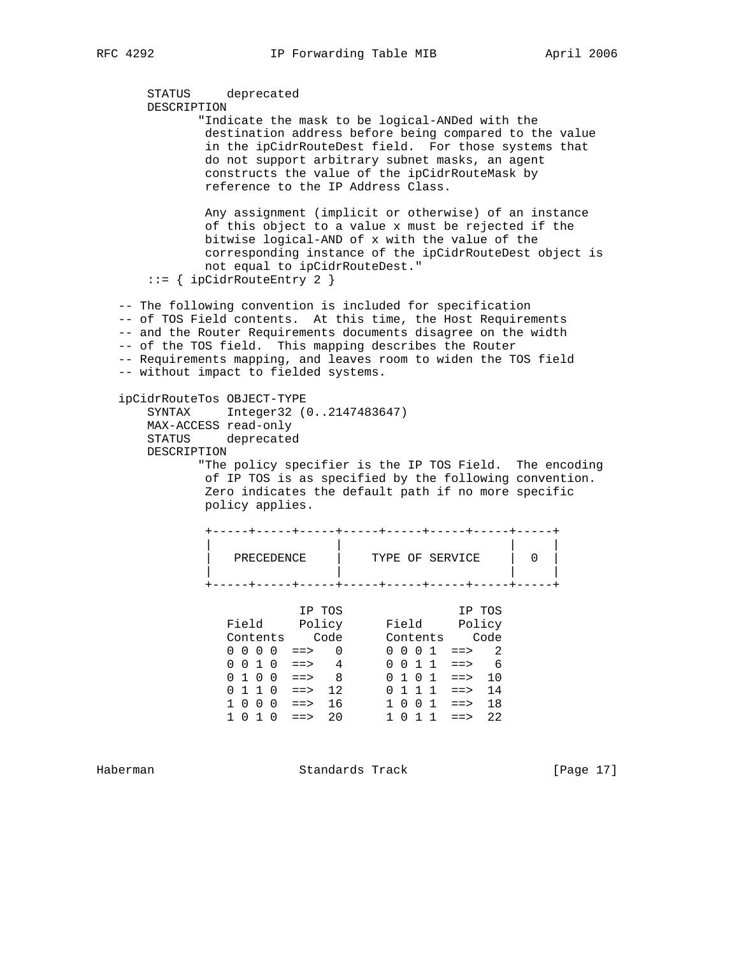```
 STATUS deprecated
      DESCRIPTION
            "Indicate the mask to be logical-ANDed with the
             destination address before being compared to the value
             in the ipCidrRouteDest field. For those systems that
             do not support arbitrary subnet masks, an agent
             constructs the value of the ipCidrRouteMask by
             reference to the IP Address Class.
             Any assignment (implicit or otherwise) of an instance
             of this object to a value x must be rejected if the
             bitwise logical-AND of x with the value of the
             corresponding instance of the ipCidrRouteDest object is
             not equal to ipCidrRouteDest."
      ::= { ipCidrRouteEntry 2 }
   -- The following convention is included for specification
   -- of TOS Field contents. At this time, the Host Requirements
   -- and the Router Requirements documents disagree on the width
   -- of the TOS field. This mapping describes the Router
   -- Requirements mapping, and leaves room to widen the TOS field
   -- without impact to fielded systems.
   ipCidrRouteTos OBJECT-TYPE
      SYNTAX Integer32 (0..2147483647)
      MAX-ACCESS read-only
      STATUS deprecated
      DESCRIPTION
            "The policy specifier is the IP TOS Field. The encoding
             of IP TOS is as specified by the following convention.
             Zero indicates the default path if no more specific
             policy applies.
             +-----+-----+-----+-----+-----+-----+-----+-----+
 | | | |
 | PRECEDENCE | TYPE OF SERVICE | 0 |
 | | | |
             +-----+-----+-----+-----+-----+-----+-----+-----+
 IP TOS IP TOS
 Field Policy Field Policy
 Contents Code Contents Code
0 \t0 \t0 \t0 \t1 \t= > 0 0 0 0 1 ==> 2
0 \t0 \t1 \t0 \t= > 4 0 0 1 1 ==> 6
0 1 0 0 \implies 8 0 1 0 1 \implies 100 1 1 0 \implies 12 0 1 1 1 \implies 14 1 0 0 0 ==> 16 1 0 0 1 ==> 18
 1 0 1 0 ==> 20 1 0 1 1 ==> 22
```
Haberman Standards Track [Page 17]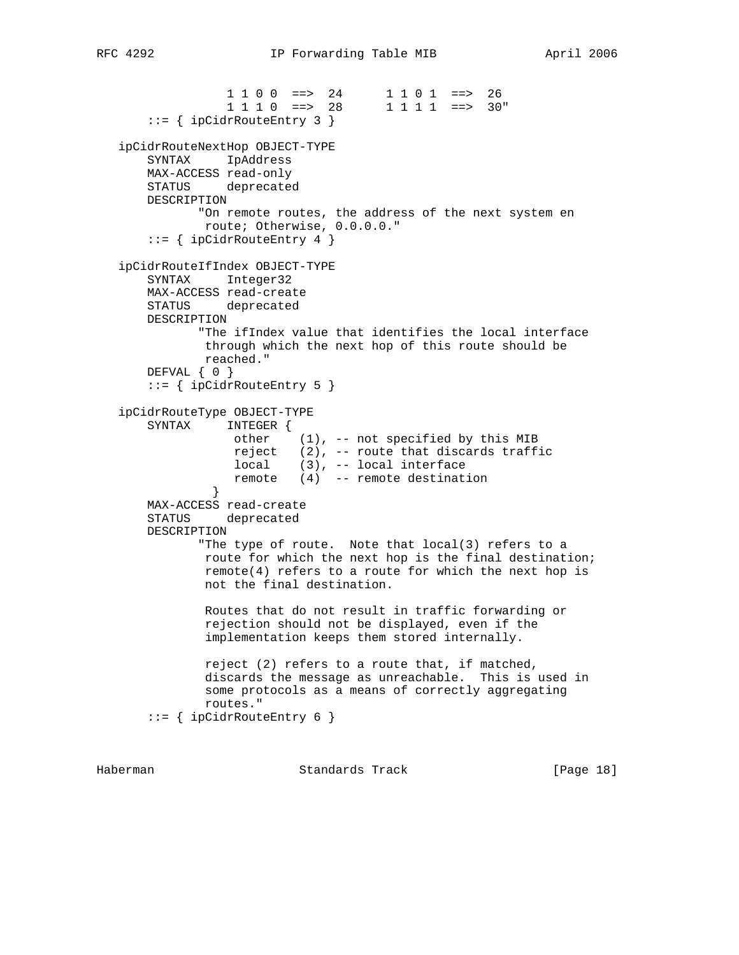```
1 1 0 0 ==> 24 1 1 0 1 ==> 26<br>1 1 1 0 ==> 28 1 1 1 1 ==> 30"
                 1 1 1 0 ==> 28
       ::= { ipCidrRouteEntry 3 }
   ipCidrRouteNextHop OBJECT-TYPE
       SYNTAX IpAddress
       MAX-ACCESS read-only
       STATUS deprecated
       DESCRIPTION
              "On remote routes, the address of the next system en
              route; Otherwise, 0.0.0.0."
       ::= { ipCidrRouteEntry 4 }
   ipCidrRouteIfIndex OBJECT-TYPE
       SYNTAX Integer32
       MAX-ACCESS read-create
       STATUS deprecated
       DESCRIPTION
              "The ifIndex value that identifies the local interface
              through which the next hop of this route should be
              reached."
       DEFVAL { 0 }
       ::= { ipCidrRouteEntry 5 }
   ipCidrRouteType OBJECT-TYPE
       SYNTAX INTEGER {
 other (1), -- not specified by this MIB
 reject (2), -- route that discards traffic
 local (3), -- local interface
 remote (4) -- remote destination
 }
       MAX-ACCESS read-create
       STATUS deprecated
       DESCRIPTION
              "The type of route. Note that local(3) refers to a
              route for which the next hop is the final destination;
               remote(4) refers to a route for which the next hop is
               not the final destination.
               Routes that do not result in traffic forwarding or
               rejection should not be displayed, even if the
               implementation keeps them stored internally.
               reject (2) refers to a route that, if matched,
               discards the message as unreachable. This is used in
               some protocols as a means of correctly aggregating
               routes."
       ::= { ipCidrRouteEntry 6 }
```
Haberman Standards Track [Page 18]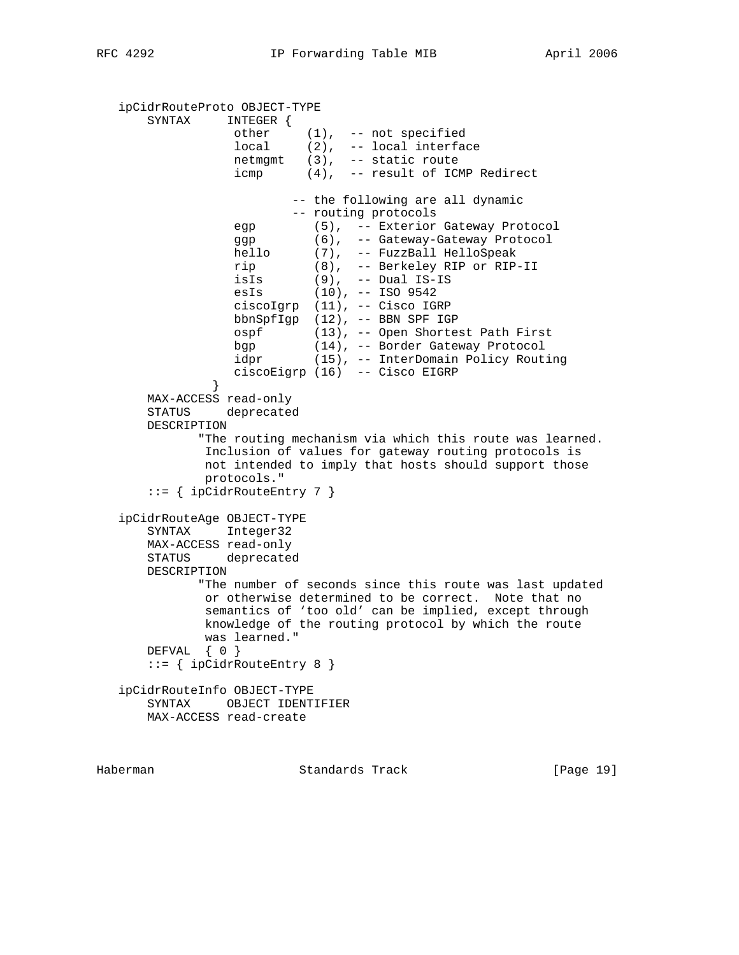```
 ipCidrRouteProto OBJECT-TYPE
       SYNTAX INTEGER {
 other (1), -- not specified
 local (2), -- local interface
                 netmgmt (3), -- static route
                 icmp (4), -- result of ICMP Redirect
                         -- the following are all dynamic
                         -- routing protocols
                 egp (5), -- Exterior Gateway Protocol
 ggp (6), -- Gateway-Gateway Protocol
 hello (7), -- FuzzBall HelloSpeak
 rip (8), -- Berkeley RIP or RIP-II
 isIs (9), -- Dual IS-IS
 esIs (10), -- ISO 9542
                 ciscoIgrp (11), -- Cisco IGRP
                 bbnSpfIgp (12), -- BBN SPF IGP
                 ospf (13), -- Open Shortest Path First
                 bgp (14), -- Border Gateway Protocol
                byp (11), contact extensive resulting<br>idpr (15), -- InterDomain Policy Routing
                 ciscoEigrp (16) -- Cisco EIGRP
 }
       MAX-ACCESS read-only
       STATUS deprecated
       DESCRIPTION
             "The routing mechanism via which this route was learned.
              Inclusion of values for gateway routing protocols is
              not intended to imply that hosts should support those
              protocols."
       ::= { ipCidrRouteEntry 7 }
   ipCidrRouteAge OBJECT-TYPE
       SYNTAX Integer32
      MAX-ACCESS read-only
      STATUS deprecated
      DESCRIPTION
             "The number of seconds since this route was last updated
              or otherwise determined to be correct. Note that no
              semantics of 'too old' can be implied, except through
              knowledge of the routing protocol by which the route
              was learned."
       DEFVAL { 0 }
      ::= { ipCidrRouteEntry 8 }
   ipCidrRouteInfo OBJECT-TYPE
       SYNTAX OBJECT IDENTIFIER
      MAX-ACCESS read-create
```
Haberman Standards Track [Page 19]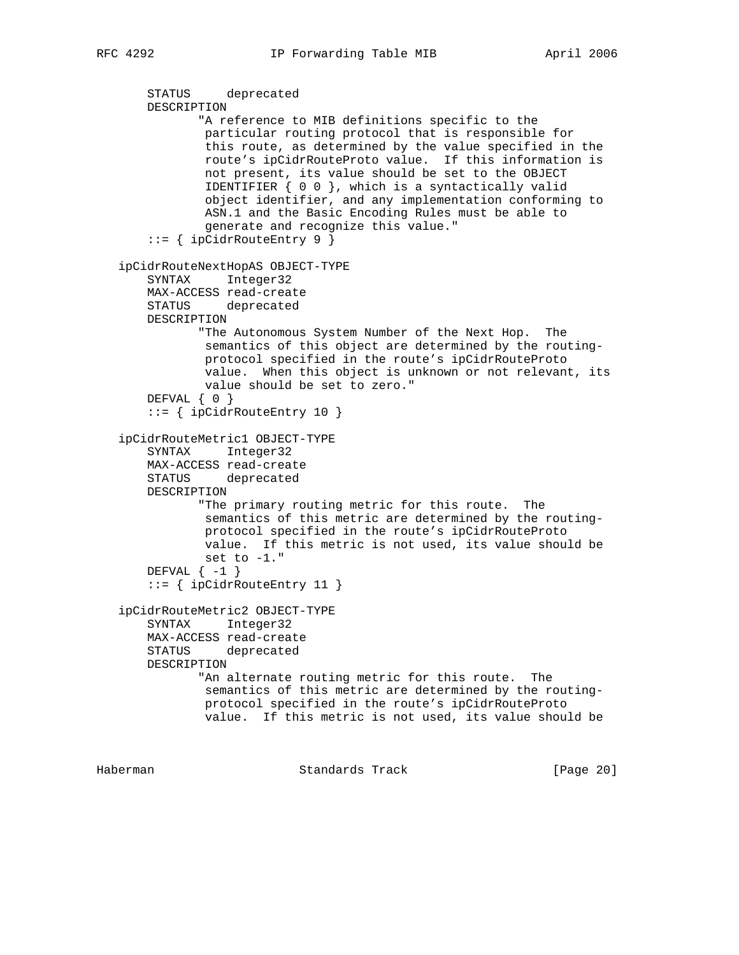```
 STATUS deprecated
    DESCRIPTION
            "A reference to MIB definitions specific to the
            particular routing protocol that is responsible for
             this route, as determined by the value specified in the
             route's ipCidrRouteProto value. If this information is
             not present, its value should be set to the OBJECT
            IDENTIFIER \{ 0 0 \}, which is a syntactically valid
             object identifier, and any implementation conforming to
             ASN.1 and the Basic Encoding Rules must be able to
             generate and recognize this value."
     ::= { ipCidrRouteEntry 9 }
 ipCidrRouteNextHopAS OBJECT-TYPE
     SYNTAX Integer32
    MAX-ACCESS read-create
    STATUS deprecated
    DESCRIPTION
            "The Autonomous System Number of the Next Hop. The
             semantics of this object are determined by the routing-
            protocol specified in the route's ipCidrRouteProto
            value. When this object is unknown or not relevant, its
            value should be set to zero."
    DEFVAL { 0 }
     ::= { ipCidrRouteEntry 10 }
 ipCidrRouteMetric1 OBJECT-TYPE
     SYNTAX Integer32
    MAX-ACCESS read-create
    STATUS deprecated
    DESCRIPTION
           "The primary routing metric for this route. The
            semantics of this metric are determined by the routing-
            protocol specified in the route's ipCidrRouteProto
            value. If this metric is not used, its value should be
            set to -1."
   DEFVAL \{-1\} ::= { ipCidrRouteEntry 11 }
 ipCidrRouteMetric2 OBJECT-TYPE
    SYNTAX Integer32
    MAX-ACCESS read-create
    STATUS deprecated
    DESCRIPTION
            "An alternate routing metric for this route. The
             semantics of this metric are determined by the routing-
            protocol specified in the route's ipCidrRouteProto
            value. If this metric is not used, its value should be
```
Haberman Standards Track [Page 20]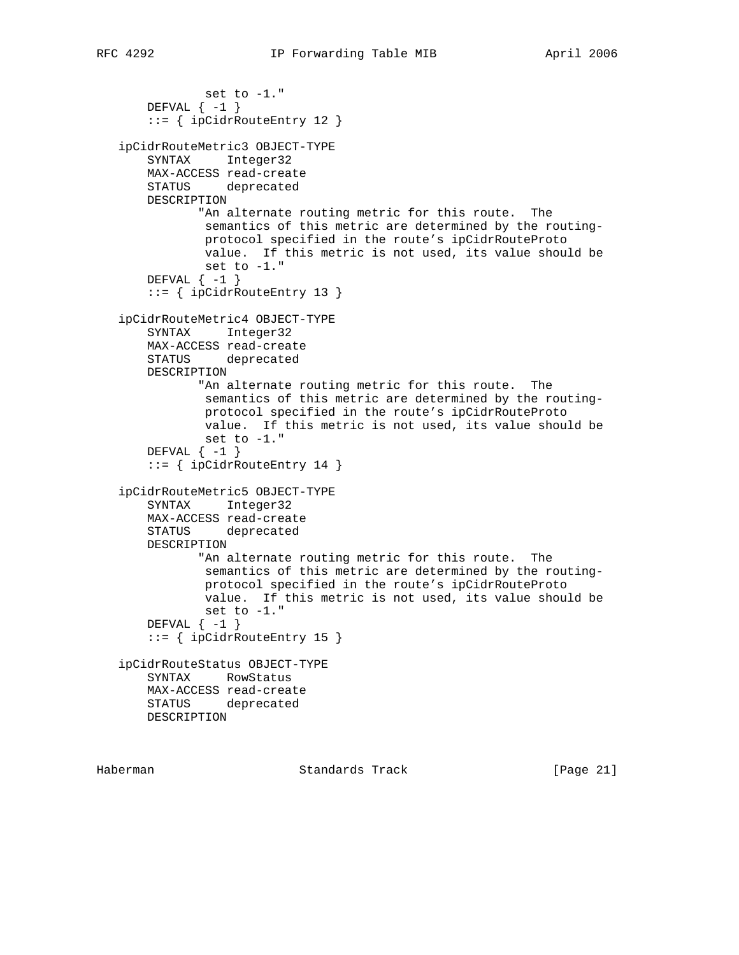```
 set to -1."
   DEFVAL \{-1\} ::= { ipCidrRouteEntry 12 }
 ipCidrRouteMetric3 OBJECT-TYPE
    SYNTAX Integer32
    MAX-ACCESS read-create
    STATUS deprecated
    DESCRIPTION
           "An alternate routing metric for this route. The
            semantics of this metric are determined by the routing-
            protocol specified in the route's ipCidrRouteProto
            value. If this metric is not used, its value should be
            set to -1."
   DEFVAL \{-1\} ::= { ipCidrRouteEntry 13 }
 ipCidrRouteMetric4 OBJECT-TYPE
    SYNTAX Integer32
    MAX-ACCESS read-create
    STATUS deprecated
    DESCRIPTION
            "An alternate routing metric for this route. The
            semantics of this metric are determined by the routing-
            protocol specified in the route's ipCidrRouteProto
            value. If this metric is not used, its value should be
            set to -1."
   DEFVAL \{-1\} ::= { ipCidrRouteEntry 14 }
 ipCidrRouteMetric5 OBJECT-TYPE
    SYNTAX Integer32
    MAX-ACCESS read-create
    STATUS deprecated
    DESCRIPTION
           "An alternate routing metric for this route. The
            semantics of this metric are determined by the routing-
            protocol specified in the route's ipCidrRouteProto
            value. If this metric is not used, its value should be
            set to -1."
   DEFVAL \{-1\} ::= { ipCidrRouteEntry 15 }
 ipCidrRouteStatus OBJECT-TYPE
    SYNTAX RowStatus
    MAX-ACCESS read-create
    STATUS deprecated
    DESCRIPTION
```
Haberman Standards Track [Page 21]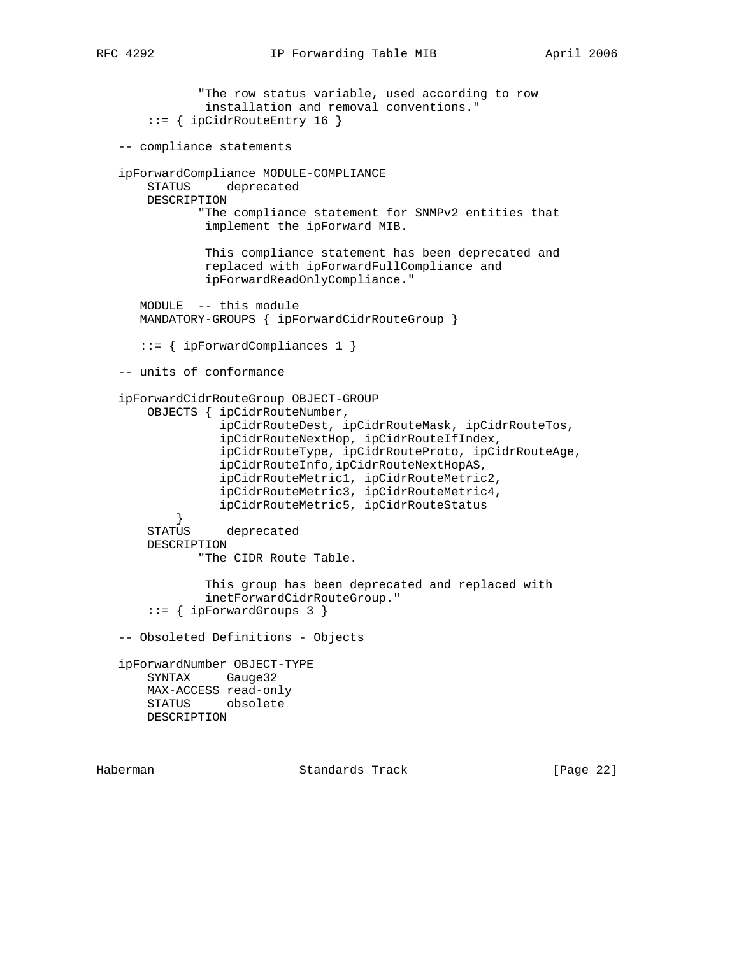```
 "The row status variable, used according to row
                installation and removal conventions."
        ::= { ipCidrRouteEntry 16 }
   -- compliance statements
   ipForwardCompliance MODULE-COMPLIANCE
       STATUS deprecated
       DESCRIPTION
               "The compliance statement for SNMPv2 entities that
               implement the ipForward MIB.
                This compliance statement has been deprecated and
                replaced with ipForwardFullCompliance and
                ipForwardReadOnlyCompliance."
      MODULE -- this module
      MANDATORY-GROUPS { ipForwardCidrRouteGroup }
      ::= { ipForwardCompliances 1 }
   -- units of conformance
   ipForwardCidrRouteGroup OBJECT-GROUP
       OBJECTS { ipCidrRouteNumber,
                  ipCidrRouteDest, ipCidrRouteMask, ipCidrRouteTos,
                  ipCidrRouteNextHop, ipCidrRouteIfIndex,
                  ipCidrRouteType, ipCidrRouteProto, ipCidrRouteAge,
                  ipCidrRouteInfo,ipCidrRouteNextHopAS,
                  ipCidrRouteMetric1, ipCidrRouteMetric2,
                  ipCidrRouteMetric3, ipCidrRouteMetric4,
                  ipCidrRouteMetric5, ipCidrRouteStatus
 }
       STATUS deprecated
       DESCRIPTION
               "The CIDR Route Table.
                This group has been deprecated and replaced with
                inetForwardCidrRouteGroup."
        ::= { ipForwardGroups 3 }
   -- Obsoleted Definitions - Objects
   ipForwardNumber OBJECT-TYPE
       SYNTAX Gauge32
       MAX-ACCESS read-only
       STATUS obsolete
       DESCRIPTION
```
Haberman Standards Track [Page 22]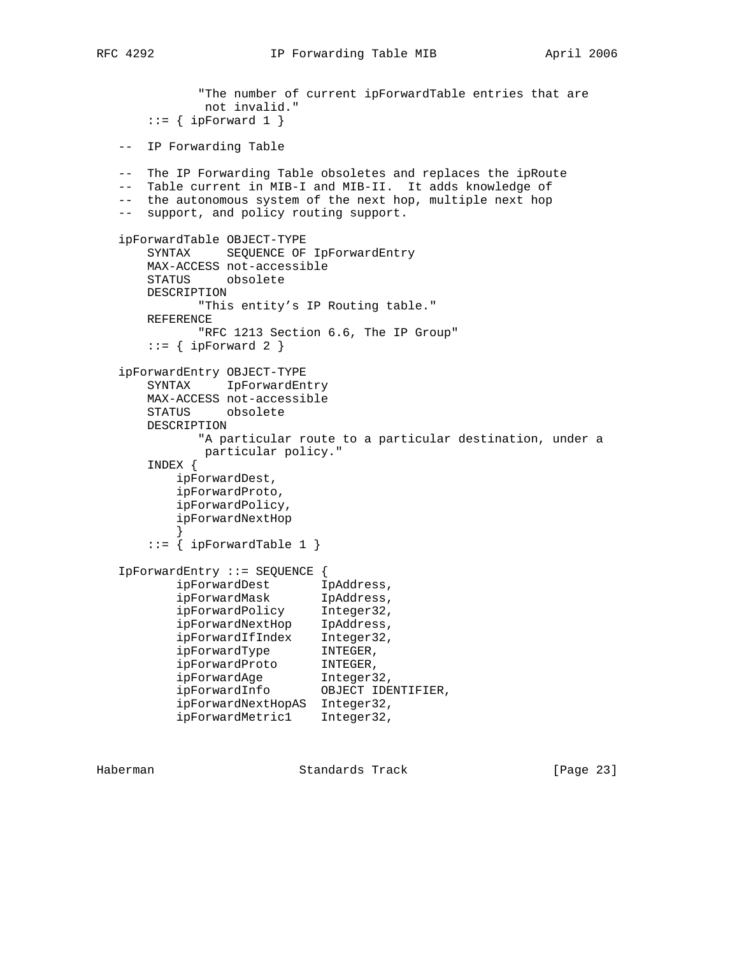```
 "The number of current ipForwardTable entries that are
              not invalid."
      ::= { ipForward 1 }
   -- IP Forwarding Table
   -- The IP Forwarding Table obsoletes and replaces the ipRoute
   -- Table current in MIB-I and MIB-II. It adds knowledge of
   -- the autonomous system of the next hop, multiple next hop
   -- support, and policy routing support.
   ipForwardTable OBJECT-TYPE
       SYNTAX SEQUENCE OF IpForwardEntry
      MAX-ACCESS not-accessible
       STATUS obsolete
      DESCRIPTION
             "This entity's IP Routing table."
      REFERENCE
             "RFC 1213 Section 6.6, The IP Group"
      ::= { ipForward 2 }
   ipForwardEntry OBJECT-TYPE
       SYNTAX IpForwardEntry
      MAX-ACCESS not-accessible
      STATUS obsolete
      DESCRIPTION
             "A particular route to a particular destination, under a
             particular policy."
       INDEX {
          ipForwardDest,
          ipForwardProto,
          ipForwardPolicy,
          ipForwardNextHop
 }
      ::= { ipForwardTable 1 }
   IpForwardEntry ::= SEQUENCE {
ipForwardDest IpAddress,
 ipForwardMask IpAddress,
 ipForwardPolicy Integer32,
 ipForwardNextHop IpAddress,
 ipForwardIfIndex Integer32,
 ipForwardType INTEGER,
 ipForwardProto INTEGER,
 ipForwardAge Integer32,
 ipForwardInfo OBJECT IDENTIFIER,
          ipForwardNextHopAS Integer32,
          ipForwardMetric1 Integer32,
```
Haberman Standards Track [Page 23]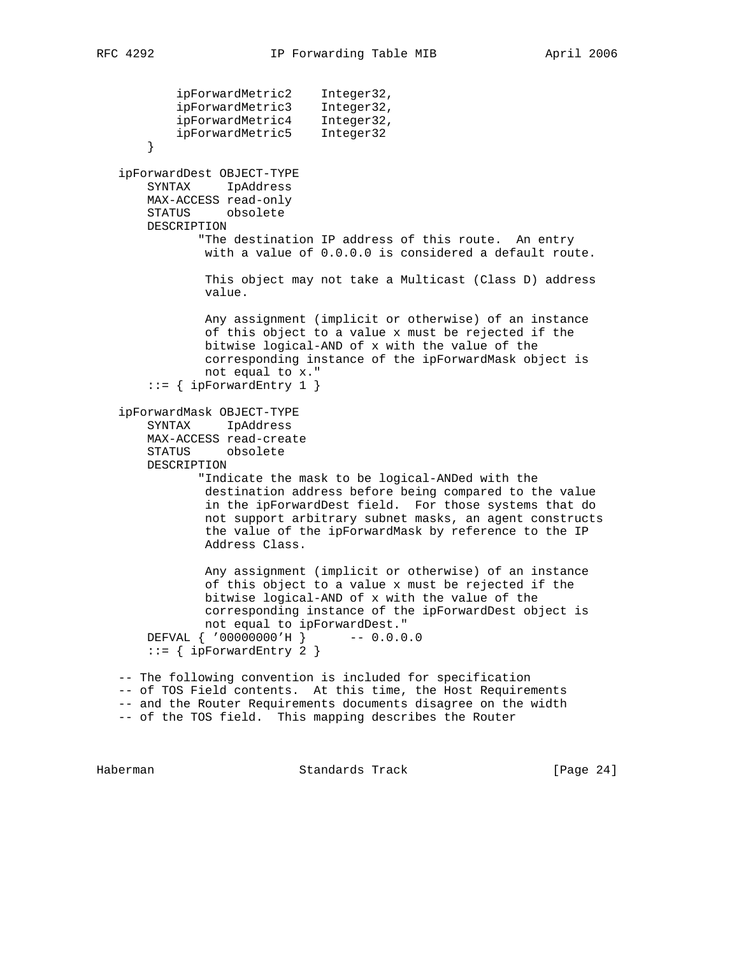```
 ipForwardMetric2 Integer32,
 ipForwardMetric3 Integer32,
 ipForwardMetric4 Integer32,
 ipForwardMetric5 Integer32
       }
   ipForwardDest OBJECT-TYPE
       SYNTAX IpAddress
       MAX-ACCESS read-only
       STATUS obsolete
       DESCRIPTION
              "The destination IP address of this route. An entry
               with a value of 0.0.0.0 is considered a default route.
               This object may not take a Multicast (Class D) address
               value.
               Any assignment (implicit or otherwise) of an instance
               of this object to a value x must be rejected if the
               bitwise logical-AND of x with the value of the
               corresponding instance of the ipForwardMask object is
               not equal to x."
      ::= { ipForwardEntry 1 }
   ipForwardMask OBJECT-TYPE
       SYNTAX IpAddress
       MAX-ACCESS read-create
       STATUS obsolete
       DESCRIPTION
              "Indicate the mask to be logical-ANDed with the
               destination address before being compared to the value
               in the ipForwardDest field. For those systems that do
               not support arbitrary subnet masks, an agent constructs
               the value of the ipForwardMask by reference to the IP
               Address Class.
               Any assignment (implicit or otherwise) of an instance
               of this object to a value x must be rejected if the
               bitwise logical-AND of x with the value of the
               corresponding instance of the ipForwardDest object is
               not equal to ipForwardDest."
       DEFVAL { '00000000'H } -- 0.0.0.0
      ::= { ipForwardEntry 2 }
   -- The following convention is included for specification
   -- of TOS Field contents. At this time, the Host Requirements
   -- and the Router Requirements documents disagree on the width
   -- of the TOS field. This mapping describes the Router
```
Haberman Standards Track [Page 24]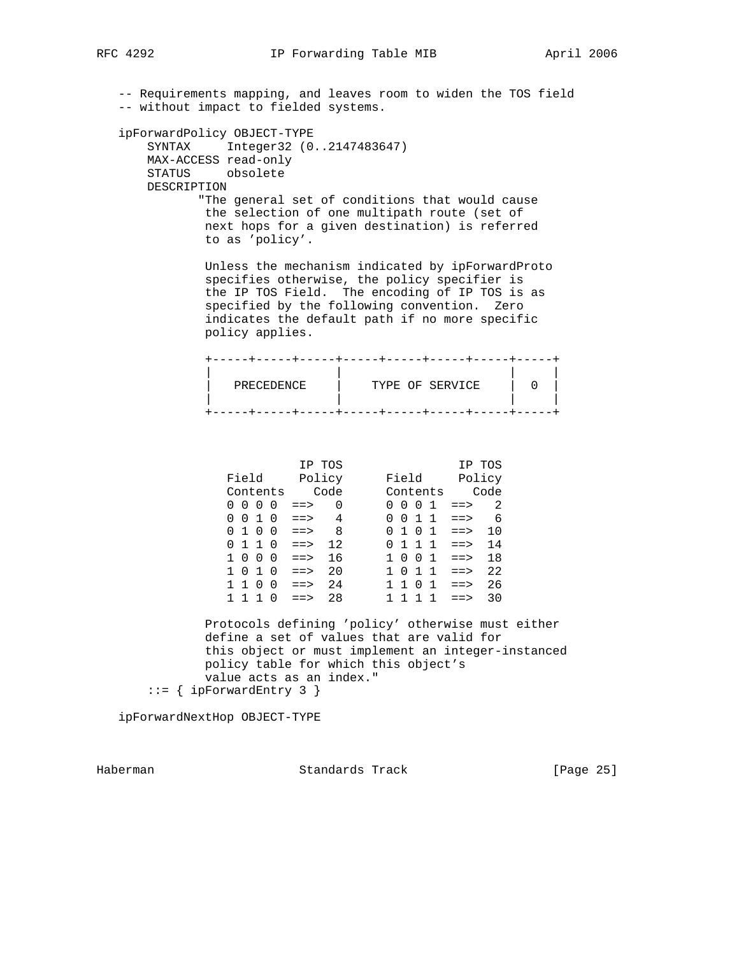-- Requirements mapping, and leaves room to widen the TOS field -- without impact to fielded systems. ipForwardPolicy OBJECT-TYPE SYNTAX Integer32 (0..2147483647) MAX-ACCESS read-only STATUS obsolete DESCRIPTION "The general set of conditions that would cause the selection of one multipath route (set of next hops for a given destination) is referred to as 'policy'. Unless the mechanism indicated by ipForwardProto specifies otherwise, the policy specifier is the IP TOS Field. The encoding of IP TOS is as specified by the following convention. Zero indicates the default path if no more specific policy applies. +-----+-----+-----+-----+-----+-----+-----+-----+ | | | | | PRECEDENCE | TYPE OF SERVICE | 0 | | | | | +-----+-----+-----+-----+-----+-----+-----+-----+ IP TOS IP TOS Field Policy Field Policy Contents Code Contents Code  $0 \t0 \t0 \t0 \t1 \t= > 0$  0 0 0 1 ==> 2  $0 \t0 \t1 \t0 \t= > 4$  0 0 1 1 ==> 6  $0 1 0 0 \implies 8 0 1 0 1 \implies 10$  $0 1 1 0 \implies 12$   $0 1 1 1 \implies 14$  1 0 0 0 ==> 16 1 0 0 1 ==> 18 1 0 1 0 ==> 20 1 0 1 1 ==> 22 1 1 0 0 ==> 24 1 1 0 1 ==> 26 1 1 1 0 ==> 28 1 1 1 1 ==> 30 Protocols defining 'policy' otherwise must either define a set of values that are valid for this object or must implement an integer-instanced policy table for which this object's value acts as an index."  $::=$  { ipForwardEntry 3 } ipForwardNextHop OBJECT-TYPE

Haberman Standards Track [Page 25]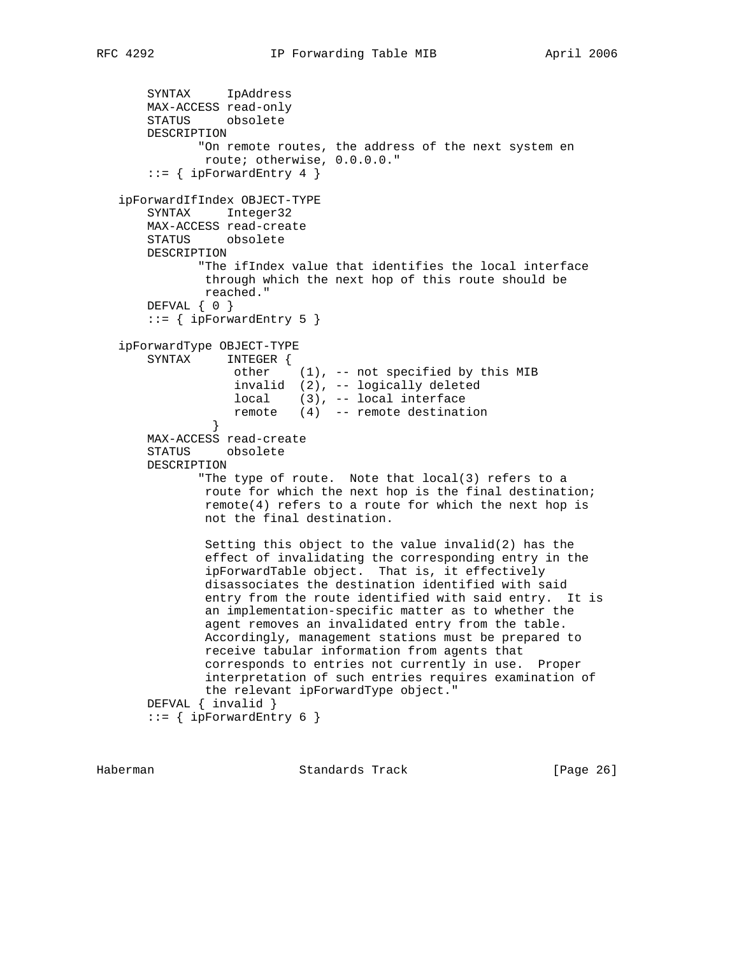```
 SYNTAX IpAddress
       MAX-ACCESS read-only
       STATUS obsolete
       DESCRIPTION
              "On remote routes, the address of the next system en
               route; otherwise, 0.0.0.0."
      ::= { ipForwardEntry 4 }
   ipForwardIfIndex OBJECT-TYPE
       SYNTAX Integer32
       MAX-ACCESS read-create
       STATUS obsolete
       DESCRIPTION
              "The ifIndex value that identifies the local interface
               through which the next hop of this route should be
               reached."
       DEFVAL { 0 }
      ::= { ipForwardEntry 5 }
   ipForwardType OBJECT-TYPE
       SYNTAX INTEGER {
                  other (1), -- not specified by this MIB
                   invalid (2), -- logically deleted
 local (3), -- local interface
 remote (4) -- remote destination
 }
       MAX-ACCESS read-create
       STATUS obsolete
       DESCRIPTION
              "The type of route. Note that local(3) refers to a
               route for which the next hop is the final destination;
               remote(4) refers to a route for which the next hop is
               not the final destination.
               Setting this object to the value invalid(2) has the
               effect of invalidating the corresponding entry in the
               ipForwardTable object. That is, it effectively
               disassociates the destination identified with said
               entry from the route identified with said entry. It is
               an implementation-specific matter as to whether the
               agent removes an invalidated entry from the table.
               Accordingly, management stations must be prepared to
               receive tabular information from agents that
               corresponds to entries not currently in use. Proper
               interpretation of such entries requires examination of
               the relevant ipForwardType object."
       DEFVAL { invalid }
      ::= { ipForwardEntry 6 }
```
Haberman Standards Track [Page 26]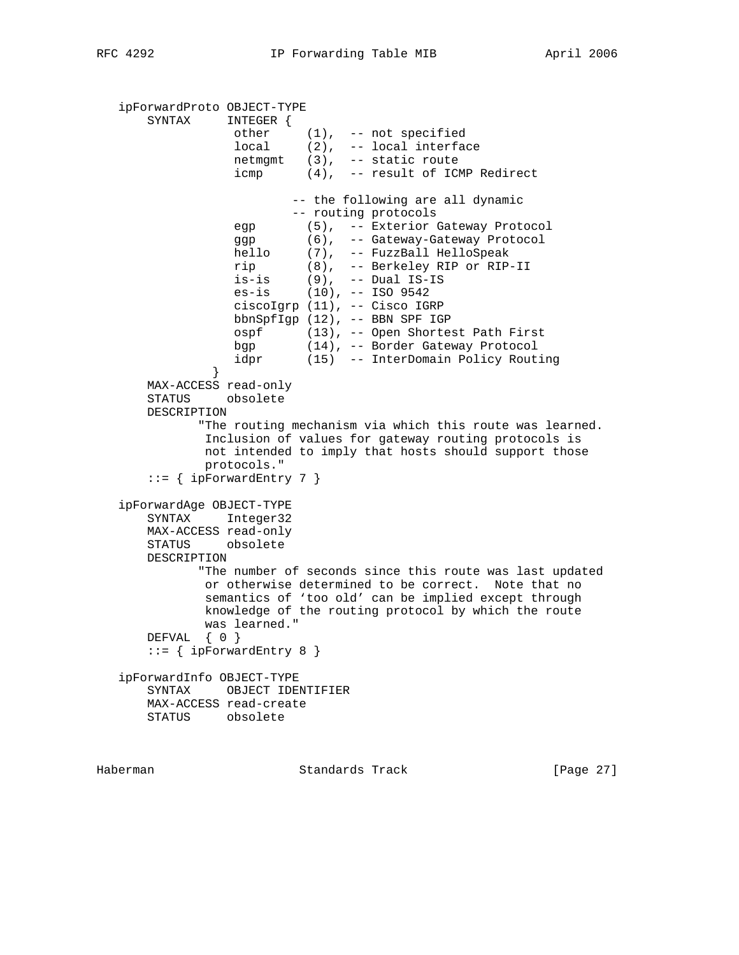```
 ipForwardProto OBJECT-TYPE
      SYNTAX INTEGER {
 other (1), -- not specified
 local (2), -- local interface
                 netmgmt (3), -- static route
                 icmp (4), -- result of ICMP Redirect
                       -- the following are all dynamic
                       -- routing protocols
                 egp (5), -- Exterior Gateway Protocol
 ggp (6), -- Gateway-Gateway Protocol
 hello (7), -- FuzzBall HelloSpeak
 rip (8), -- Berkeley RIP or RIP-II
 is-is (9), -- Dual IS-IS
 es-is (10), -- ISO 9542
                 ciscoIgrp (11), -- Cisco IGRP
                bbnSpfIgp (12), -- BBN SPF IGP
                 ospf (13), -- Open Shortest Path First
 bgp (14), -- Border Gateway Protocol
 idpr (15) -- InterDomain Policy Routing
 }
      MAX-ACCESS read-only
      STATUS obsolete
      DESCRIPTION
            "The routing mechanism via which this route was learned.
             Inclusion of values for gateway routing protocols is
             not intended to imply that hosts should support those
             protocols."
     ::= { ipForwardEntry 7 }
   ipForwardAge OBJECT-TYPE
      SYNTAX Integer32
      MAX-ACCESS read-only
      STATUS obsolete
      DESCRIPTION
            "The number of seconds since this route was last updated
             or otherwise determined to be correct. Note that no
             semantics of 'too old' can be implied except through
             knowledge of the routing protocol by which the route
             was learned."
      DEFVAL { 0 }
     ::= { ipForwardEntry 8 }
   ipForwardInfo OBJECT-TYPE
      SYNTAX OBJECT IDENTIFIER
      MAX-ACCESS read-create
      STATUS obsolete
```
Haberman Standards Track [Page 27]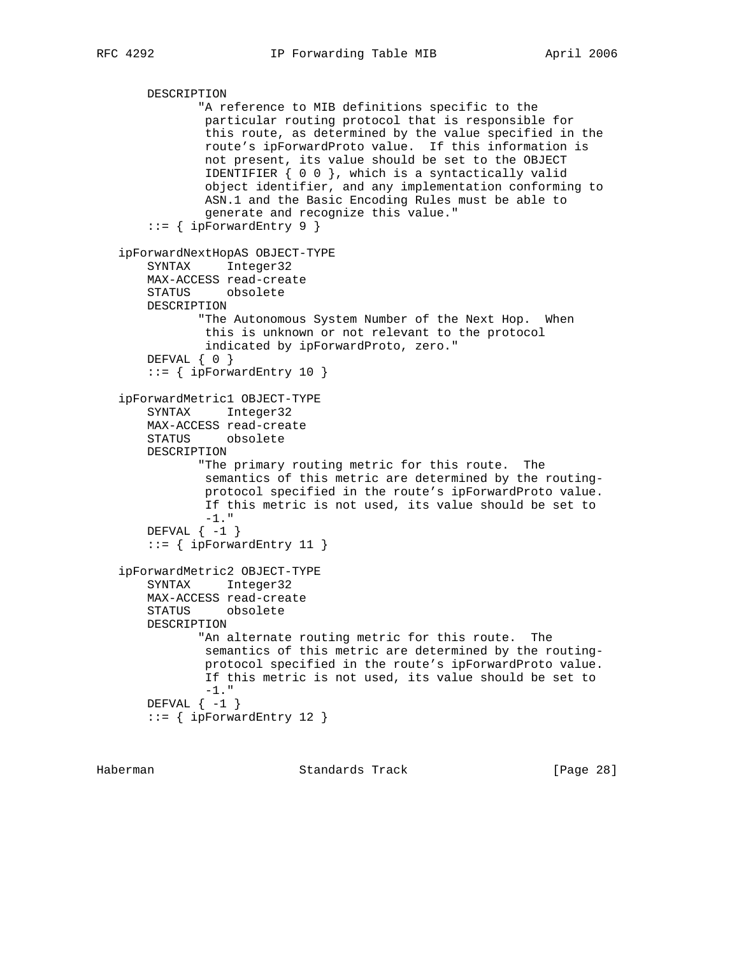```
 DESCRIPTION
            "A reference to MIB definitions specific to the
             particular routing protocol that is responsible for
             this route, as determined by the value specified in the
             route's ipForwardProto value. If this information is
             not present, its value should be set to the OBJECT
             IDENTIFIER { 0 0 }, which is a syntactically valid
             object identifier, and any implementation conforming to
             ASN.1 and the Basic Encoding Rules must be able to
             generate and recognize this value."
    ::= { ipForwardEntry 9 }
 ipForwardNextHopAS OBJECT-TYPE
    SYNTAX Integer32
    MAX-ACCESS read-create
     STATUS obsolete
    DESCRIPTION
            "The Autonomous System Number of the Next Hop. When
            this is unknown or not relevant to the protocol
             indicated by ipForwardProto, zero."
    DEFVAL { 0 }
     ::= { ipForwardEntry 10 }
 ipForwardMetric1 OBJECT-TYPE
    SYNTAX Integer32
    MAX-ACCESS read-create
    STATUS obsolete
    DESCRIPTION
            "The primary routing metric for this route. The
            semantics of this metric are determined by the routing-
             protocol specified in the route's ipForwardProto value.
            If this metric is not used, its value should be set to
           -1. "
   DEFVAL \{-1\}::= { ipForwardEntry 11 }
 ipForwardMetric2 OBJECT-TYPE
     SYNTAX Integer32
    MAX-ACCESS read-create
    STATUS obsolete
    DESCRIPTION
            "An alternate routing metric for this route. The
            semantics of this metric are determined by the routing-
            protocol specified in the route's ipForwardProto value.
            If this metric is not used, its value should be set to
           -1. "
   DEFVAL \{-1\}::= { ipForwardEntry 12 }
```
Haberman Standards Track [Page 28]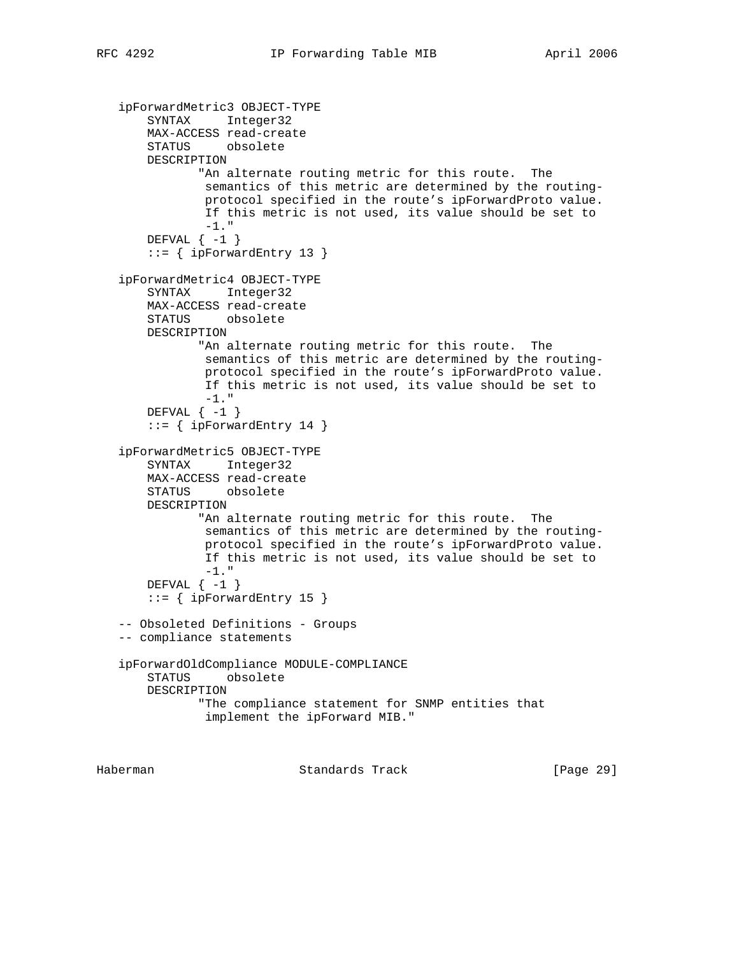```
 ipForwardMetric3 OBJECT-TYPE
    SYNTAX Integer32
    MAX-ACCESS read-create
    STATUS obsolete
    DESCRIPTION
           "An alternate routing metric for this route. The
            semantics of this metric are determined by the routing-
            protocol specified in the route's ipForwardProto value.
            If this metric is not used, its value should be set to
             -1."
   DEFVAL \{-1\} ::= { ipForwardEntry 13 }
 ipForwardMetric4 OBJECT-TYPE
    SYNTAX Integer32
    MAX-ACCESS read-create
    STATUS obsolete
    DESCRIPTION
           "An alternate routing metric for this route. The
            semantics of this metric are determined by the routing-
            protocol specified in the route's ipForwardProto value.
            If this metric is not used, its value should be set to
           -1. "
   DEFVAL \{-1\}::= { ipForwardEntry 14 }
 ipForwardMetric5 OBJECT-TYPE
    SYNTAX Integer32
    MAX-ACCESS read-create
    STATUS obsolete
    DESCRIPTION
            "An alternate routing metric for this route. The
            semantics of this metric are determined by the routing-
            protocol specified in the route's ipForwardProto value.
             If this metric is not used, its value should be set to
            -1."
   DEFVAL \{-1\} ::= { ipForwardEntry 15 }
 -- Obsoleted Definitions - Groups
 -- compliance statements
 ipForwardOldCompliance MODULE-COMPLIANCE
    STATUS obsolete
    DESCRIPTION
            "The compliance statement for SNMP entities that
             implement the ipForward MIB."
```
Haberman Standards Track [Page 29]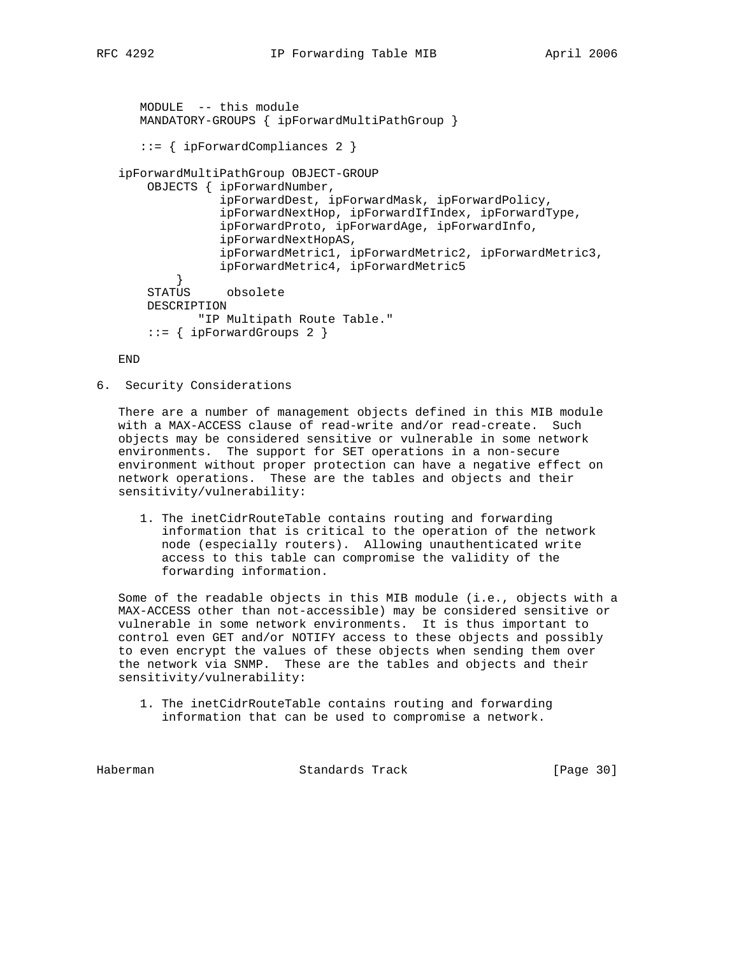```
 MODULE -- this module
   MANDATORY-GROUPS { ipForwardMultiPathGroup }
    ::= { ipForwardCompliances 2 }
 ipForwardMultiPathGroup OBJECT-GROUP
    OBJECTS { ipForwardNumber,
               ipForwardDest, ipForwardMask, ipForwardPolicy,
               ipForwardNextHop, ipForwardIfIndex, ipForwardType,
               ipForwardProto, ipForwardAge, ipForwardInfo,
               ipForwardNextHopAS,
               ipForwardMetric1, ipForwardMetric2, ipForwardMetric3,
               ipForwardMetric4, ipForwardMetric5
         }
     STATUS obsolete
     DESCRIPTION
         "IP Multipath Route Table."
     ::= { ipForwardGroups 2 }
```
END

6. Security Considerations

 There are a number of management objects defined in this MIB module with a MAX-ACCESS clause of read-write and/or read-create. Such objects may be considered sensitive or vulnerable in some network environments. The support for SET operations in a non-secure environment without proper protection can have a negative effect on network operations. These are the tables and objects and their sensitivity/vulnerability:

 1. The inetCidrRouteTable contains routing and forwarding information that is critical to the operation of the network node (especially routers). Allowing unauthenticated write access to this table can compromise the validity of the forwarding information.

 Some of the readable objects in this MIB module (i.e., objects with a MAX-ACCESS other than not-accessible) may be considered sensitive or vulnerable in some network environments. It is thus important to control even GET and/or NOTIFY access to these objects and possibly to even encrypt the values of these objects when sending them over the network via SNMP. These are the tables and objects and their sensitivity/vulnerability:

 1. The inetCidrRouteTable contains routing and forwarding information that can be used to compromise a network.

Haberman Standards Track [Page 30]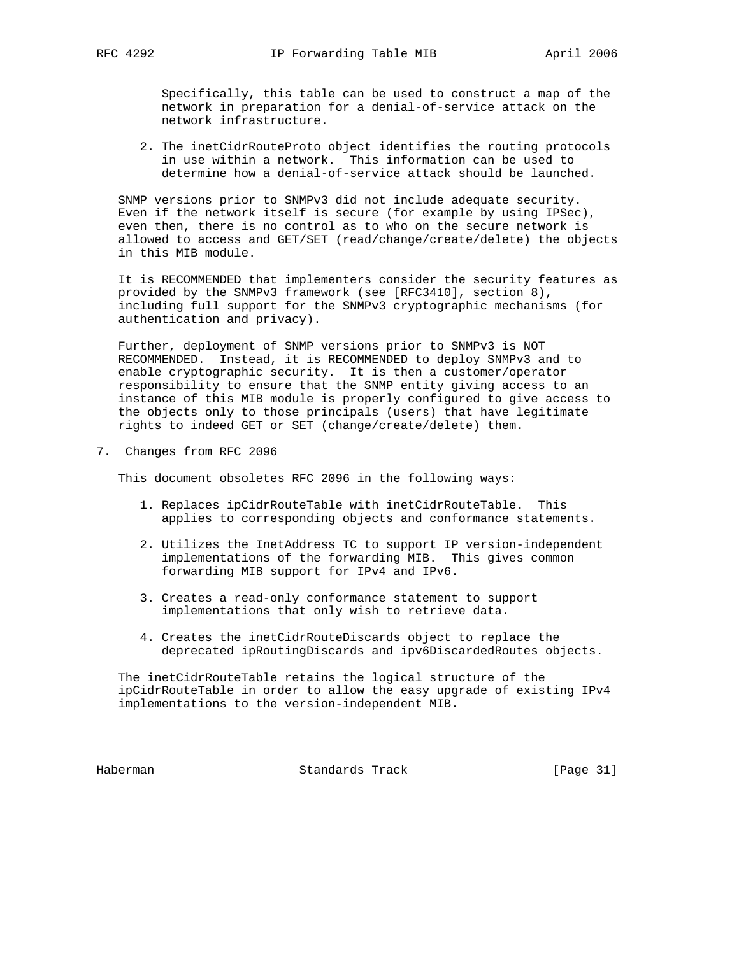Specifically, this table can be used to construct a map of the network in preparation for a denial-of-service attack on the network infrastructure.

 2. The inetCidrRouteProto object identifies the routing protocols in use within a network. This information can be used to determine how a denial-of-service attack should be launched.

 SNMP versions prior to SNMPv3 did not include adequate security. Even if the network itself is secure (for example by using IPSec), even then, there is no control as to who on the secure network is allowed to access and GET/SET (read/change/create/delete) the objects in this MIB module.

 It is RECOMMENDED that implementers consider the security features as provided by the SNMPv3 framework (see [RFC3410], section 8), including full support for the SNMPv3 cryptographic mechanisms (for authentication and privacy).

 Further, deployment of SNMP versions prior to SNMPv3 is NOT RECOMMENDED. Instead, it is RECOMMENDED to deploy SNMPv3 and to enable cryptographic security. It is then a customer/operator responsibility to ensure that the SNMP entity giving access to an instance of this MIB module is properly configured to give access to the objects only to those principals (users) that have legitimate rights to indeed GET or SET (change/create/delete) them.

7. Changes from RFC 2096

This document obsoletes RFC 2096 in the following ways:

- 1. Replaces ipCidrRouteTable with inetCidrRouteTable. This applies to corresponding objects and conformance statements.
- 2. Utilizes the InetAddress TC to support IP version-independent implementations of the forwarding MIB. This gives common forwarding MIB support for IPv4 and IPv6.
- 3. Creates a read-only conformance statement to support implementations that only wish to retrieve data.
- 4. Creates the inetCidrRouteDiscards object to replace the deprecated ipRoutingDiscards and ipv6DiscardedRoutes objects.

 The inetCidrRouteTable retains the logical structure of the ipCidrRouteTable in order to allow the easy upgrade of existing IPv4 implementations to the version-independent MIB.

Haberman Standards Track [Page 31]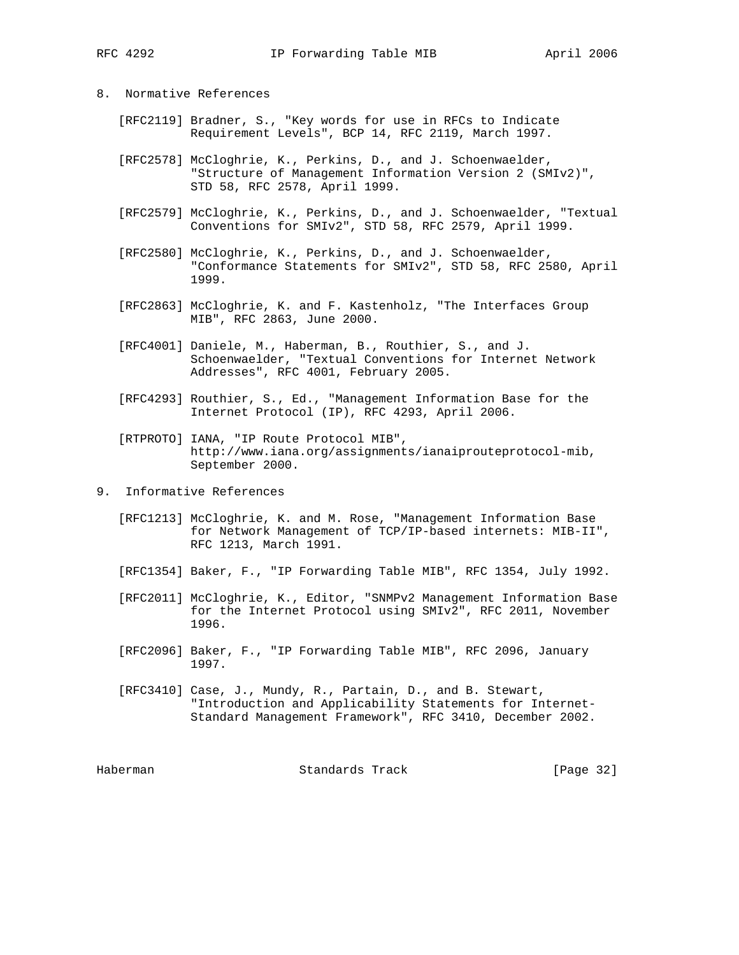- 8. Normative References
	- [RFC2119] Bradner, S., "Key words for use in RFCs to Indicate Requirement Levels", BCP 14, RFC 2119, March 1997.
	- [RFC2578] McCloghrie, K., Perkins, D., and J. Schoenwaelder, "Structure of Management Information Version 2 (SMIv2)", STD 58, RFC 2578, April 1999.
	- [RFC2579] McCloghrie, K., Perkins, D., and J. Schoenwaelder, "Textual Conventions for SMIv2", STD 58, RFC 2579, April 1999.
	- [RFC2580] McCloghrie, K., Perkins, D., and J. Schoenwaelder, "Conformance Statements for SMIv2", STD 58, RFC 2580, April 1999.
	- [RFC2863] McCloghrie, K. and F. Kastenholz, "The Interfaces Group MIB", RFC 2863, June 2000.
	- [RFC4001] Daniele, M., Haberman, B., Routhier, S., and J. Schoenwaelder, "Textual Conventions for Internet Network Addresses", RFC 4001, February 2005.
	- [RFC4293] Routhier, S., Ed., "Management Information Base for the Internet Protocol (IP), RFC 4293, April 2006.
	- [RTPROTO] IANA, "IP Route Protocol MIB", http://www.iana.org/assignments/ianaiprouteprotocol-mib, September 2000.
- 9. Informative References
	- [RFC1213] McCloghrie, K. and M. Rose, "Management Information Base for Network Management of TCP/IP-based internets: MIB-II", RFC 1213, March 1991.
	- [RFC1354] Baker, F., "IP Forwarding Table MIB", RFC 1354, July 1992.
	- [RFC2011] McCloghrie, K., Editor, "SNMPv2 Management Information Base for the Internet Protocol using SMIv2", RFC 2011, November 1996.
	- [RFC2096] Baker, F., "IP Forwarding Table MIB", RFC 2096, January 1997.
	- [RFC3410] Case, J., Mundy, R., Partain, D., and B. Stewart, "Introduction and Applicability Statements for Internet- Standard Management Framework", RFC 3410, December 2002.

Haberman Standards Track [Page 32]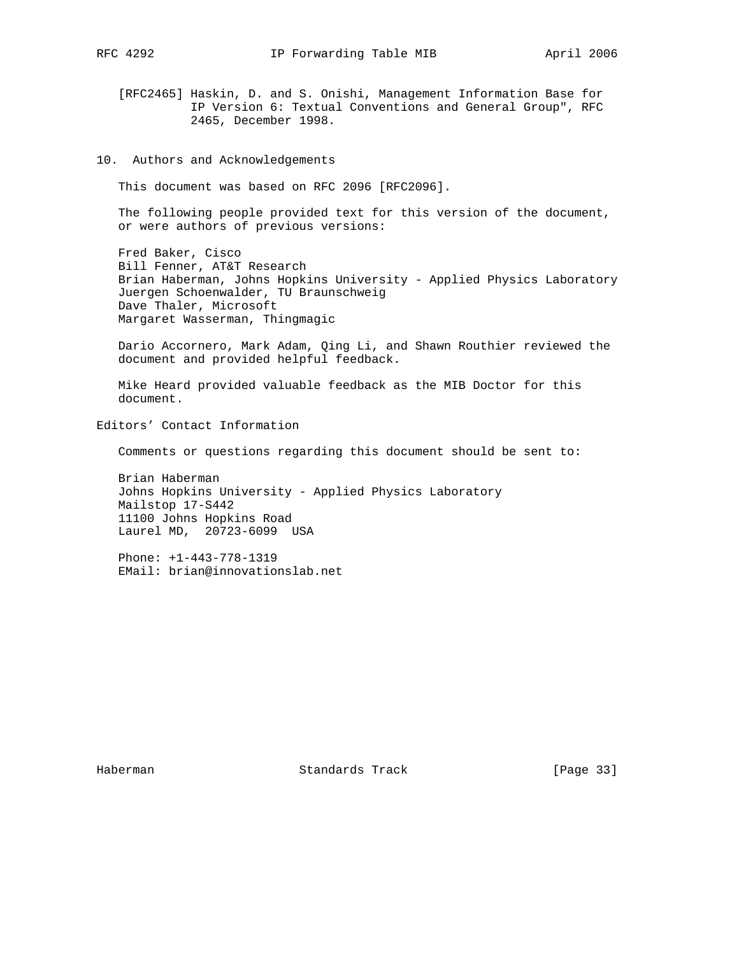[RFC2465] Haskin, D. and S. Onishi, Management Information Base for IP Version 6: Textual Conventions and General Group", RFC 2465, December 1998.

10. Authors and Acknowledgements

This document was based on RFC 2096 [RFC2096].

 The following people provided text for this version of the document, or were authors of previous versions:

 Fred Baker, Cisco Bill Fenner, AT&T Research Brian Haberman, Johns Hopkins University - Applied Physics Laboratory Juergen Schoenwalder, TU Braunschweig Dave Thaler, Microsoft Margaret Wasserman, Thingmagic

 Dario Accornero, Mark Adam, Qing Li, and Shawn Routhier reviewed the document and provided helpful feedback.

 Mike Heard provided valuable feedback as the MIB Doctor for this document.

Editors' Contact Information

Comments or questions regarding this document should be sent to:

 Brian Haberman Johns Hopkins University - Applied Physics Laboratory Mailstop 17-S442 11100 Johns Hopkins Road Laurel MD, 20723-6099 USA

 Phone: +1-443-778-1319 EMail: brian@innovationslab.net

Haberman Standards Track [Page 33]